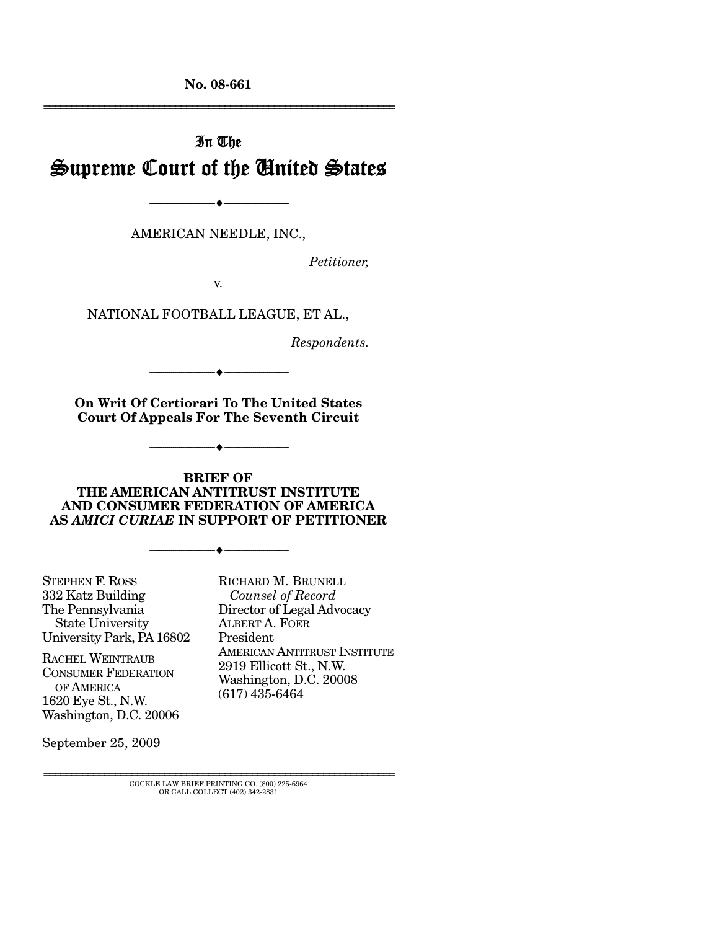**No. 08-661** 

# In The Supreme Court of the United States

AMERICAN NEEDLE, INC.,

--------------------------------- ♦ ---------------------------------

*Petitioner,* 

================================================================

v.

NATIONAL FOOTBALL LEAGUE, ET AL.,

*Respondents.* 

**On Writ Of Certiorari To The United States Court Of Appeals For The Seventh Circuit** 

--------------------------------- ♦ ---------------------------------

--------------------------------- ♦ ---------------------------------

#### **BRIEF OF THE AMERICAN ANTITRUST INSTITUTE AND CONSUMER FEDERATION OF AMERICA AS** *AMICI CURIAE* **IN SUPPORT OF PETITIONER**

--------------------------------- ♦ ---------------------------------

STEPHEN F. ROSS 332 Katz Building The Pennsylvania State University University Park, PA 16802

RACHEL WEINTRAUB CONSUMER FEDERATION OF AMERICA 1620 Eye St., N.W. Washington, D.C. 20006

September 25, 2009

RICHARD M. BRUNELL *Counsel of Record*  Director of Legal Advocacy ALBERT A. FOER President AMERICAN ANTITRUST INSTITUTE 2919 Ellicott St., N.W. Washington, D.C. 20008 (617) 435-6464

================================================================ COCKLE LAW BRIEF PRINTING CO. (800) 225-6964 OR CALL COLLECT (402) 342-2831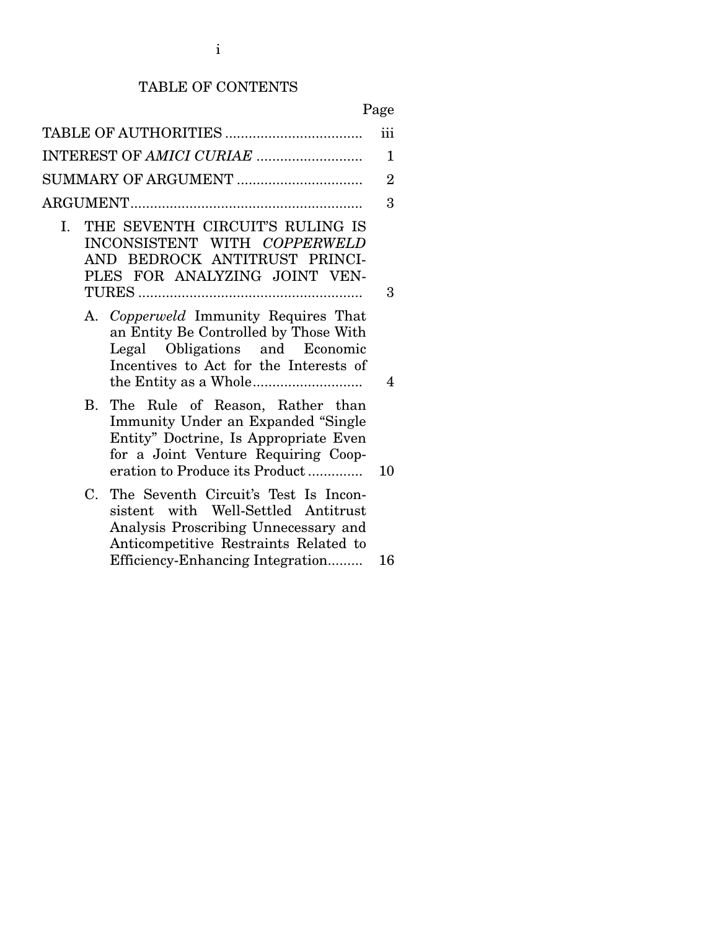# TABLE OF CONTENTS

## Page

|                                                                                                                                                                                                        | iii |  |  |
|--------------------------------------------------------------------------------------------------------------------------------------------------------------------------------------------------------|-----|--|--|
|                                                                                                                                                                                                        | 1   |  |  |
| $\overline{2}$                                                                                                                                                                                         |     |  |  |
|                                                                                                                                                                                                        | 3   |  |  |
| THE SEVENTH CIRCUIT'S RULING IS<br>$\mathbf{L}$<br>INCONSISTENT WITH COPPERWELD<br>AND BEDROCK ANTITRUST PRINCI-<br>PLES FOR ANALYZING JOINT VEN-                                                      | 3   |  |  |
| A. Copperweld Immunity Requires That<br>an Entity Be Controlled by Those With<br>Legal Obligations and Economic<br>Incentives to Act for the Interests of                                              | 4   |  |  |
| The Rule of Reason, Rather than<br>В.<br>Immunity Under an Expanded "Single<br>Entity" Doctrine, Is Appropriate Even<br>for a Joint Venture Requiring Coop-<br>eration to Produce its Product          | 10  |  |  |
| The Seventh Circuit's Test Is Incon-<br>C.<br>sistent with Well-Settled Antitrust<br>Analysis Proscribing Unnecessary and<br>Anticompetitive Restraints Related to<br>Efficiency-Enhancing Integration | 16  |  |  |
|                                                                                                                                                                                                        |     |  |  |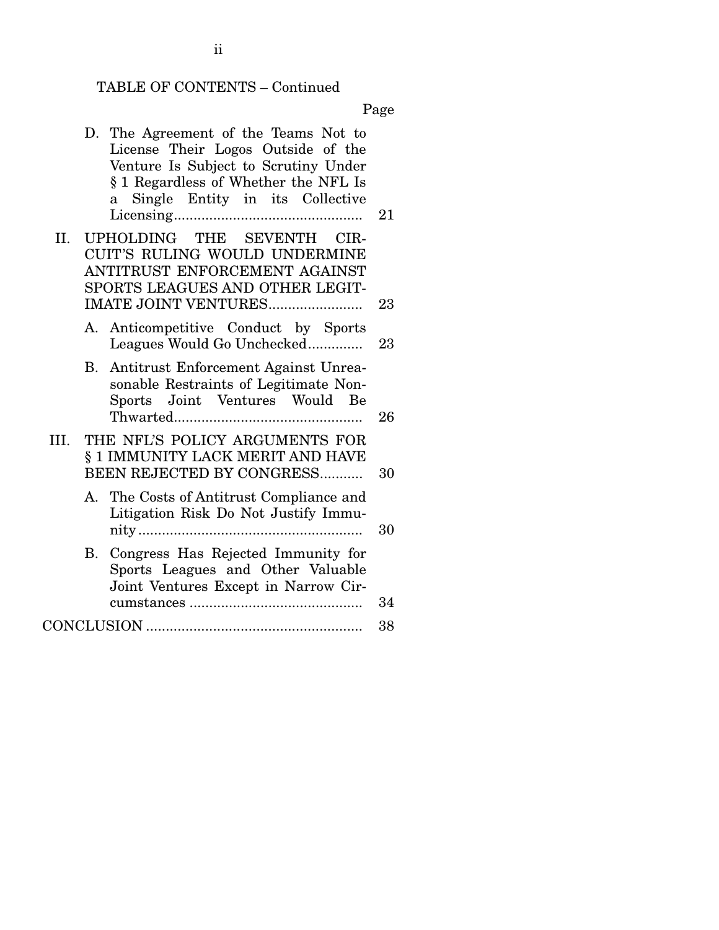## TABLE OF CONTENTS – Continued

Page

|      |    | D. The Agreement of the Teams Not to<br>License Their Logos Outside of the<br>Venture Is Subject to Scrutiny Under<br>§ 1 Regardless of Whether the NFL Is<br>Single Entity in its Collective<br>a | 21 |
|------|----|----------------------------------------------------------------------------------------------------------------------------------------------------------------------------------------------------|----|
| II.  |    | UPHOLDING THE SEVENTH CIR-<br>CUIT'S RULING WOULD UNDERMINE<br>ANTITRUST ENFORCEMENT AGAINST<br>SPORTS LEAGUES AND OTHER LEGIT-<br>IMATE JOINT VENTURES                                            | 23 |
|      | A. | Anticompetitive Conduct by Sports<br>Leagues Would Go Unchecked                                                                                                                                    | 23 |
|      | В. | Antitrust Enforcement Against Unrea-<br>sonable Restraints of Legitimate Non-<br>Sports Joint Ventures Would Be                                                                                    | 26 |
| III. |    | THE NFL'S POLICY ARGUMENTS FOR<br>§ 1 IMMUNITY LACK MERIT AND HAVE<br>BEEN REJECTED BY CONGRESS                                                                                                    | 30 |
|      |    | A. The Costs of Antitrust Compliance and<br>Litigation Risk Do Not Justify Immu-                                                                                                                   | 30 |
|      | В. | Congress Has Rejected Immunity for<br>Sports Leagues and Other Valuable<br>Joint Ventures Except in Narrow Cir-                                                                                    | 34 |
|      |    |                                                                                                                                                                                                    | 38 |

ii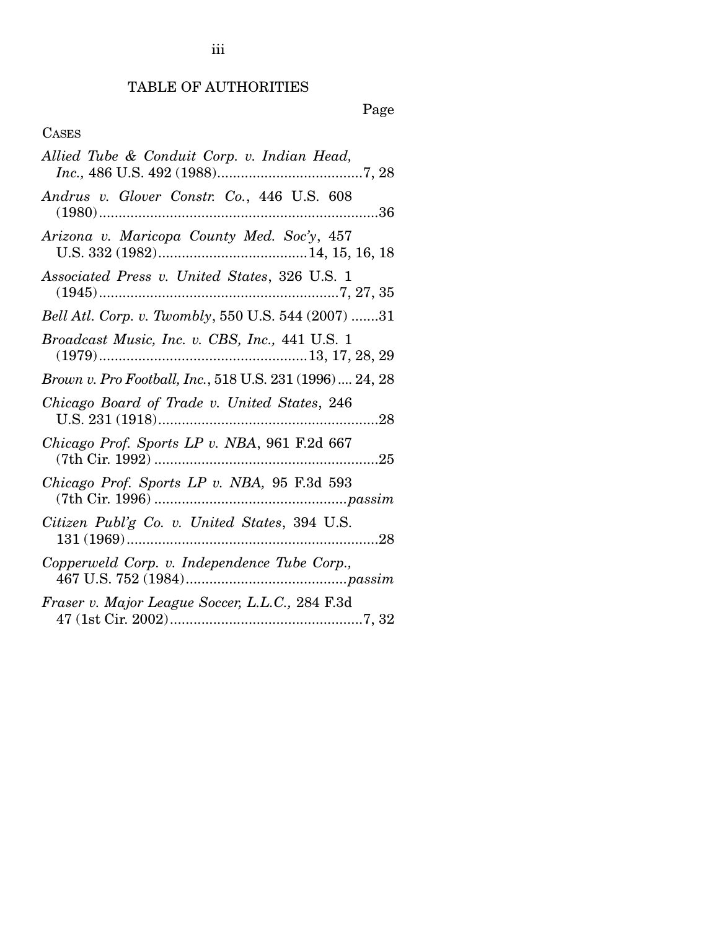## TABLE OF AUTHORITIES

## Page

## CASES

| Allied Tube & Conduit Corp. v. Indian Head,              |
|----------------------------------------------------------|
| Andrus v. Glover Constr. Co., 446 U.S. 608               |
| Arizona v. Maricopa County Med. Soc'y, 457               |
| Associated Press v. United States, 326 U.S. 1            |
| Bell Atl. Corp. v. Twombly, 550 U.S. 544 (2007) 31       |
| Broadcast Music, Inc. v. CBS, Inc., 441 U.S. 1           |
| Brown v. Pro Football, Inc., 518 U.S. 231 (1996)  24, 28 |
| Chicago Board of Trade v. United States, 246             |
| Chicago Prof. Sports LP v. NBA, 961 F.2d 667             |
| Chicago Prof. Sports LP v. NBA, 95 F.3d 593              |
| Citizen Publ'g Co. v. United States, 394 U.S.            |
| Copperweld Corp. v. Independence Tube Corp.,             |
| Fraser v. Major League Soccer, L.L.C., 284 F.3d          |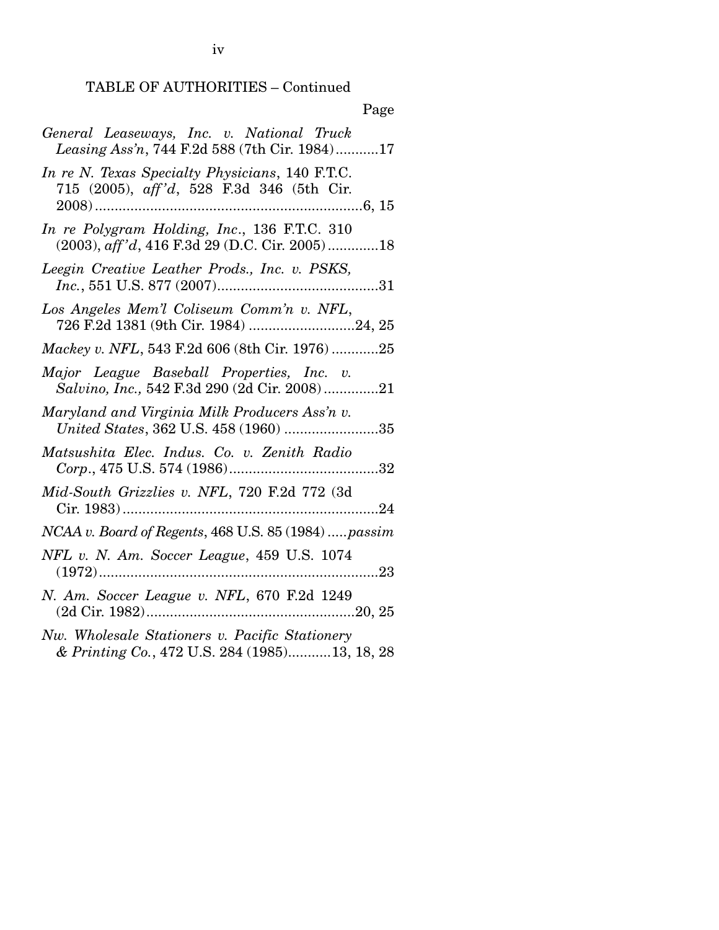## TABLE OF AUTHORITIES – Continued

| Page                                                                                             |
|--------------------------------------------------------------------------------------------------|
| General Leaseways, Inc. v. National Truck<br>Leasing Ass'n, 744 F.2d 588 (7th Cir. 1984)17       |
| In re N. Texas Specialty Physicians, 140 F.T.C.<br>715 (2005), aff'd, 528 F.3d 346 (5th Cir.     |
| In re Polygram Holding, Inc., 136 F.T.C. 310<br>$(2003)$ , aff'd, 416 F.3d 29 (D.C. Cir. 2005)18 |
| Leegin Creative Leather Prods., Inc. v. PSKS,                                                    |
| Los Angeles Mem'l Coliseum Comm'n v. NFL,<br>726 F.2d 1381 (9th Cir. 1984) 24, 25                |
| Mackey v. NFL, 543 F.2d 606 (8th Cir. 1976)25                                                    |
| Major League Baseball Properties, Inc. v.<br>Salvino, Inc., 542 F.3d 290 (2d Cir. 2008)21        |
| Maryland and Virginia Milk Producers Ass'n v.<br>United States, 362 U.S. 458 (1960) 35           |
| Matsushita Elec. Indus. Co. v. Zenith Radio                                                      |
| Mid-South Grizzlies v. NFL, 720 F.2d 772 (3d                                                     |
| NCAA v. Board of Regents, 468 U.S. 85 (1984)  passim                                             |
| NFL v. N. Am. Soccer League, 459 U.S. 1074<br>. 23                                               |
| N. Am. Soccer League v. NFL, 670 F.2d 1249                                                       |
| Nw. Wholesale Stationers v. Pacific Stationery<br>& Printing Co., 472 U.S. 284 (1985)13, 18, 28  |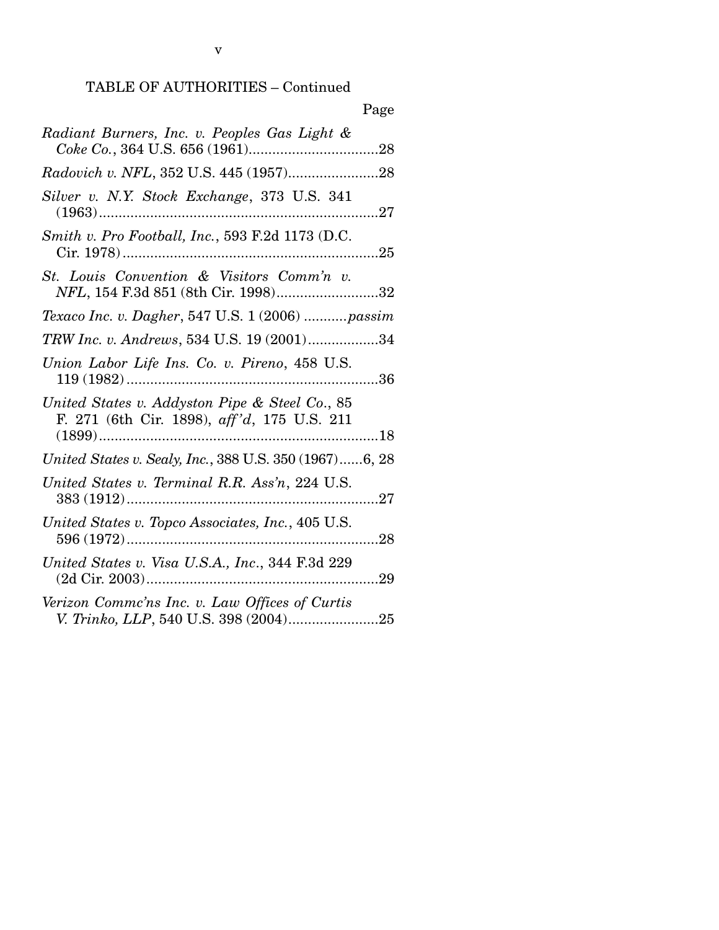v

| Page                                                                                          |
|-----------------------------------------------------------------------------------------------|
| Radiant Burners, Inc. v. Peoples Gas Light &                                                  |
|                                                                                               |
| Silver v. N.Y. Stock Exchange, 373 U.S. 341<br>27<br>$(1963)$                                 |
| Smith v. Pro Football, Inc., 593 F.2d 1173 (D.C.                                              |
| St. Louis Convention & Visitors Comm'n v.<br>NFL, 154 F.3d 851 (8th Cir. 1998)32              |
| Texaco Inc. v. Dagher, 547 U.S. 1 (2006)  passim                                              |
| TRW Inc. v. Andrews, 534 U.S. 19 (2001)34                                                     |
| Union Labor Life Ins. Co. v. Pireno, 458 U.S.                                                 |
| United States v. Addyston Pipe & Steel Co., 85<br>F. 271 (6th Cir. 1898), aff'd, 175 U.S. 211 |
| United States v. Sealy, Inc., 388 U.S. 350 (1967)6, 28                                        |
| United States v. Terminal R.R. Ass'n, 224 U.S.<br>27                                          |
| United States v. Topco Associates, Inc., 405 U.S.                                             |
| United States v. Visa U.S.A., Inc., 344 F.3d 229<br>29                                        |
| Verizon Commc'ns Inc. v. Law Offices of Curtis<br>V. Trinko, LLP, 540 U.S. 398 (2004)25       |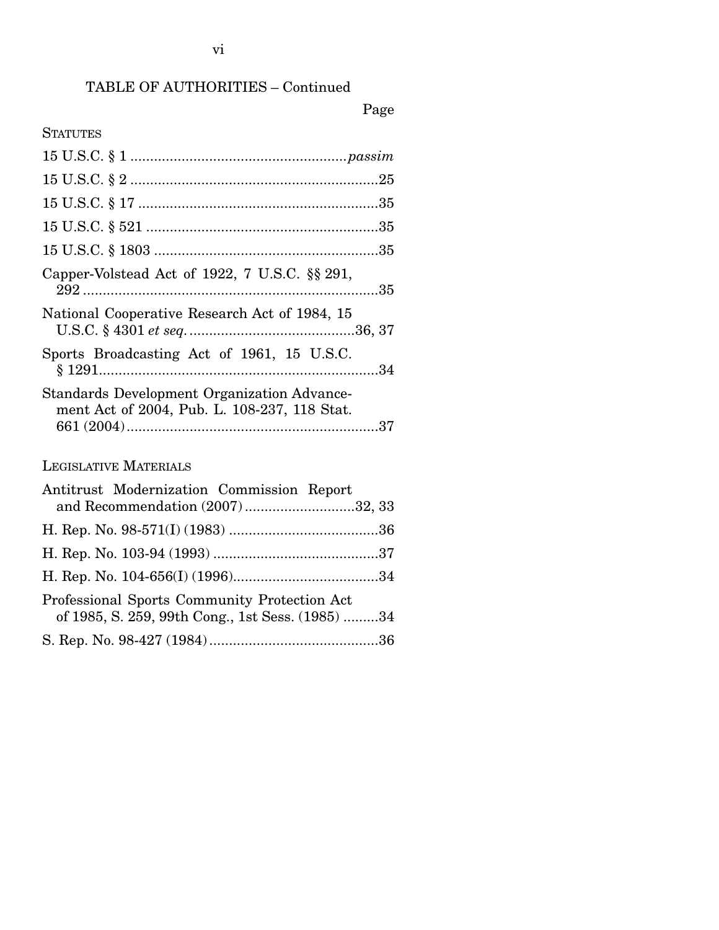## TABLE OF AUTHORITIES – Continued

#### Page

#### **STATUTES**

| Capper-Volstead Act of 1922, 7 U.S.C. $\S$ 291,                                                    |
|----------------------------------------------------------------------------------------------------|
| National Cooperative Research Act of 1984, 15                                                      |
| Sports Broadcasting Act of 1961, 15 U.S.C.                                                         |
| <b>Standards Development Organization Advance-</b><br>ment Act of 2004, Pub. L. 108-237, 118 Stat. |
| <b>LEGISLATIVE MATERIALS</b>                                                                       |
| Antitrust Modernization Commission Report<br>and Recommendation (2007)32, 33                       |

H. Rep. No. 98-571(I) (1983) ...................................... 36

H. Rep. No. 103-94 (1993) .......................................... 37 H. Rep. No. 104-656(I) (1996)..................................... 34

of 1985, S. 259, 99th Cong., 1st Sess. (1985) ......... 34

S. Rep. No. 98-427 (1984) ........................................... 36

Professional Sports Community Protection Act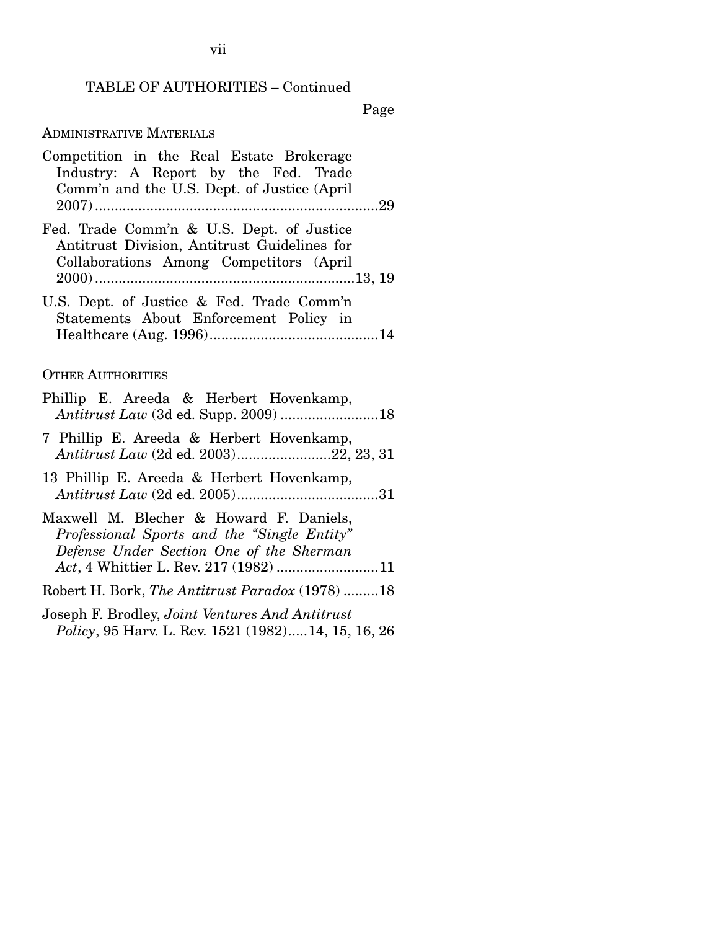## TABLE OF AUTHORITIES – Continued

Page

## ADMINISTRATIVE MATERIALS

| Competition in the Real Estate Brokerage<br>Industry: A Report by the Fed. Trade<br>Comm'n and the U.S. Dept. of Justice (April                                             |
|-----------------------------------------------------------------------------------------------------------------------------------------------------------------------------|
| Fed. Trade Comm'n & U.S. Dept. of Justice<br>Antitrust Division, Antitrust Guidelines for<br>Collaborations Among Competitors (April                                        |
| U.S. Dept. of Justice & Fed. Trade Comm'n<br>Statements About Enforcement Policy in                                                                                         |
| <b>OTHER AUTHORITIES</b>                                                                                                                                                    |
| Phillip E. Areeda & Herbert Hovenkamp,<br>Antitrust Law (3d ed. Supp. 2009) 18                                                                                              |
| 7 Phillip E. Areeda & Herbert Hovenkamp,<br>Antitrust Law (2d ed. 2003)22, 23, 31                                                                                           |
| 13 Phillip E. Areeda & Herbert Hovenkamp,                                                                                                                                   |
| Maxwell M. Blecher & Howard F. Daniels,<br>Professional Sports and the "Single Entity"<br>Defense Under Section One of the Sherman<br>Act, 4 Whittier L. Rev. 217 (1982) 11 |
| Robert H. Bork, The Antitrust Paradox (1978)18                                                                                                                              |
| Joseph F. Brodley, Joint Ventures And Antitrust<br>Policy, 95 Harv. L. Rev. 1521 (1982)14, 15, 16, 26                                                                       |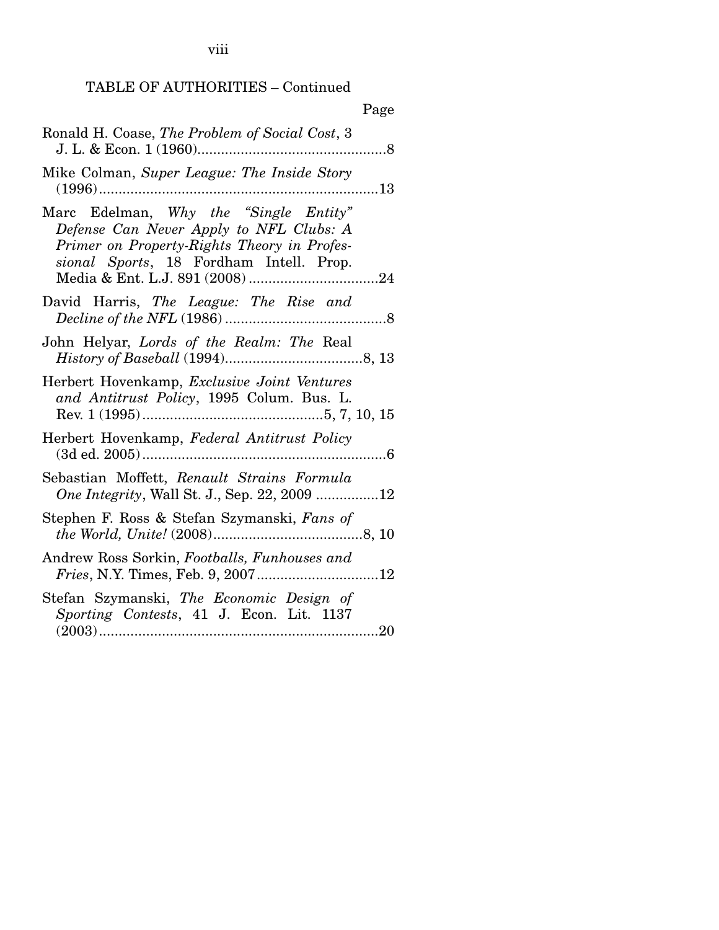viii

## TABLE OF AUTHORITIES – Continued

| Page                                                                                                                                                                       |  |
|----------------------------------------------------------------------------------------------------------------------------------------------------------------------------|--|
| Ronald H. Coase, The Problem of Social Cost, 3                                                                                                                             |  |
| Mike Colman, Super League: The Inside Story                                                                                                                                |  |
| Marc Edelman, Why the "Single Entity"<br>Defense Can Never Apply to NFL Clubs: A<br>Primer on Property-Rights Theory in Profes-<br>sional Sports, 18 Fordham Intell. Prop. |  |
| David Harris, The League: The Rise and                                                                                                                                     |  |
| John Helyar, Lords of the Realm: The Real                                                                                                                                  |  |
| Herbert Hovenkamp, Exclusive Joint Ventures<br>and Antitrust Policy, 1995 Colum. Bus. L.                                                                                   |  |
| Herbert Hovenkamp, Federal Antitrust Policy                                                                                                                                |  |
| Sebastian Moffett, Renault Strains Formula<br><i>One Integrity</i> , Wall St. J., Sep. 22, 2009 12                                                                         |  |
| Stephen F. Ross & Stefan Szymanski, Fans of                                                                                                                                |  |
| Andrew Ross Sorkin, Footballs, Funhouses and                                                                                                                               |  |
| Stefan Szymanski, The Economic Design of<br>Sporting Contests, 41 J. Econ. Lit. 1137                                                                                       |  |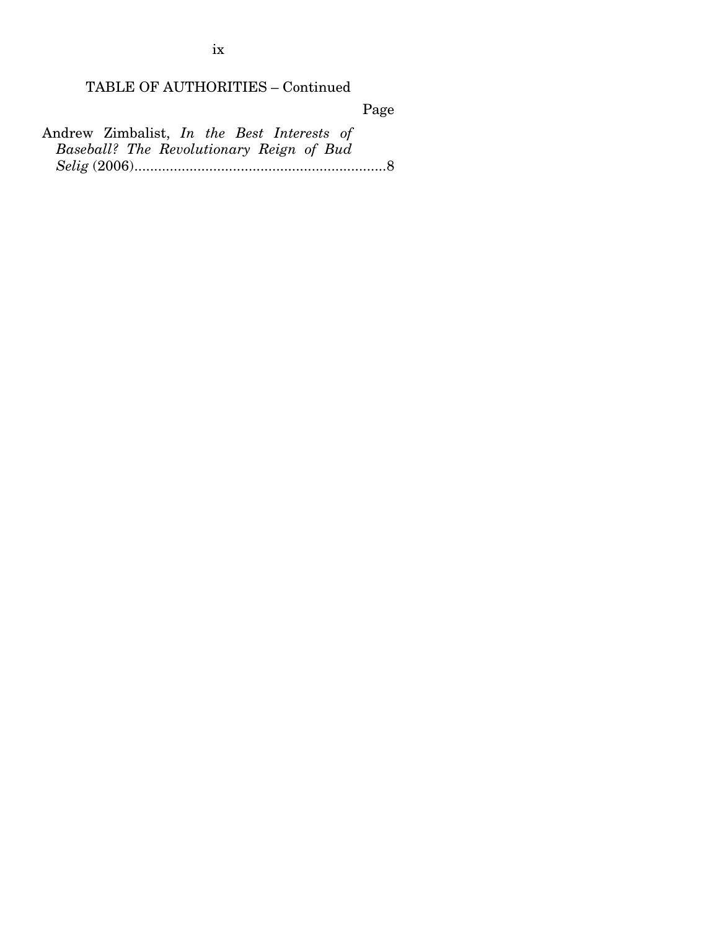TABLE OF AUTHORITIES – Continued

Page

Andrew Zimbalist, *In the Best Interests of Baseball? The Revolutionary Reign of Bud Selig* (2006) ................................................................ 8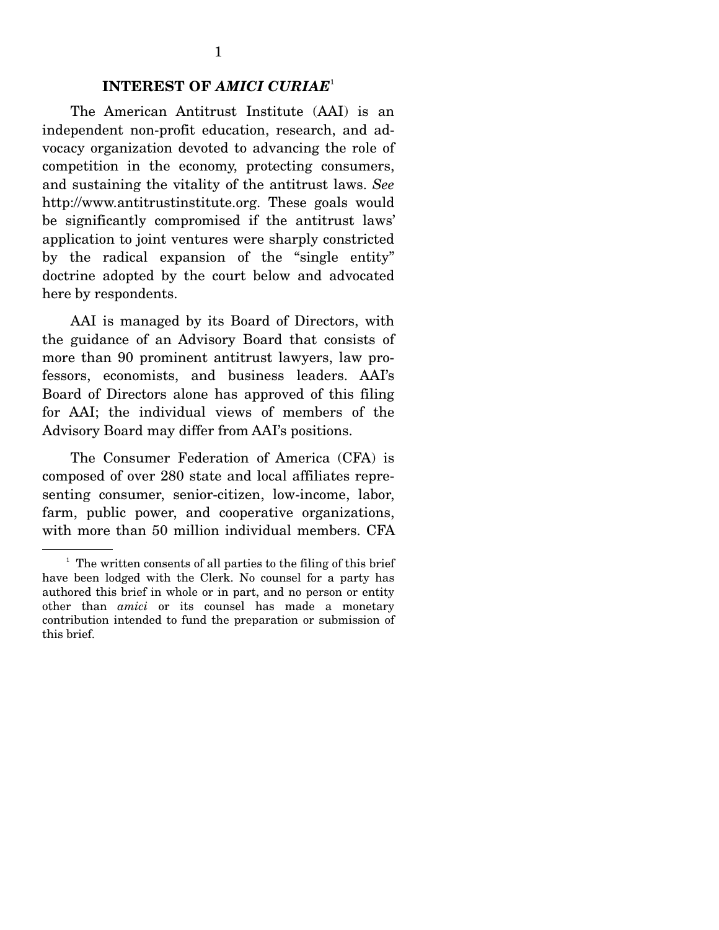#### **INTEREST OF** *AMICI CURIAE*<sup>1</sup>

The American Antitrust Institute (AAI) is an independent non-profit education, research, and advocacy organization devoted to advancing the role of competition in the economy, protecting consumers, and sustaining the vitality of the antitrust laws. *See*  http://www.antitrustinstitute.org. These goals would be significantly compromised if the antitrust laws' application to joint ventures were sharply constricted by the radical expansion of the "single entity" doctrine adopted by the court below and advocated here by respondents.

 AAI is managed by its Board of Directors, with the guidance of an Advisory Board that consists of more than 90 prominent antitrust lawyers, law professors, economists, and business leaders. AAI's Board of Directors alone has approved of this filing for AAI; the individual views of members of the Advisory Board may differ from AAI's positions.

 The Consumer Federation of America (CFA) is composed of over 280 state and local affiliates representing consumer, senior-citizen, low-income, labor, farm, public power, and cooperative organizations, with more than 50 million individual members. CFA

<sup>&</sup>lt;sup>1</sup> The written consents of all parties to the filing of this brief have been lodged with the Clerk. No counsel for a party has authored this brief in whole or in part, and no person or entity other than *amici* or its counsel has made a monetary contribution intended to fund the preparation or submission of this brief.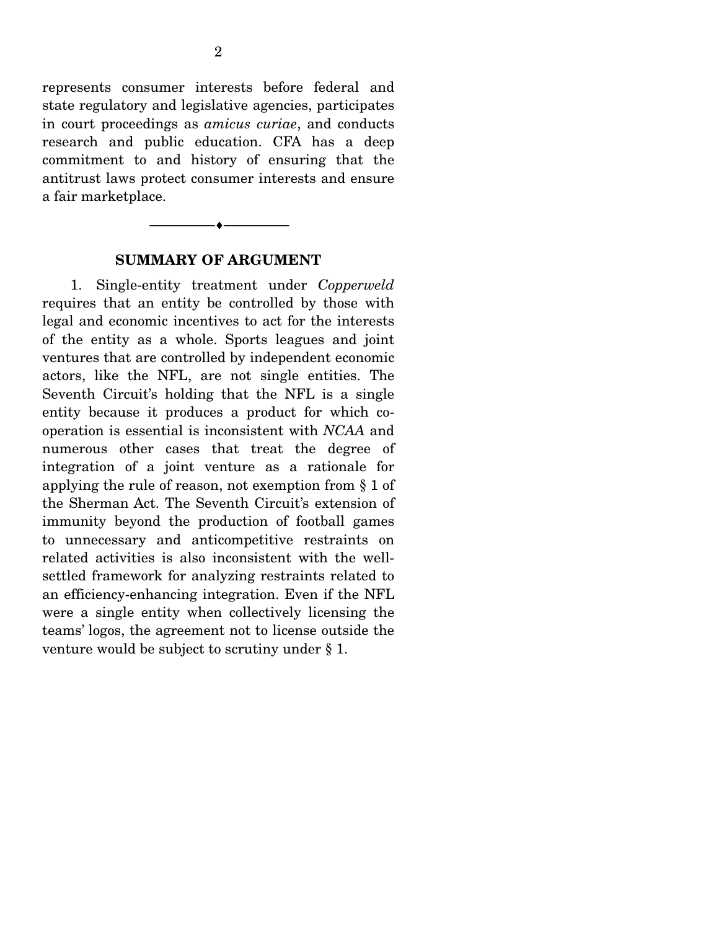represents consumer interests before federal and state regulatory and legislative agencies, participates in court proceedings as *amicus curiae*, and conducts research and public education. CFA has a deep commitment to and history of ensuring that the antitrust laws protect consumer interests and ensure a fair marketplace.



#### **SUMMARY OF ARGUMENT**

1. Single-entity treatment under *Copperweld*  requires that an entity be controlled by those with legal and economic incentives to act for the interests of the entity as a whole. Sports leagues and joint ventures that are controlled by independent economic actors, like the NFL, are not single entities. The Seventh Circuit's holding that the NFL is a single entity because it produces a product for which cooperation is essential is inconsistent with *NCAA* and numerous other cases that treat the degree of integration of a joint venture as a rationale for applying the rule of reason, not exemption from § 1 of the Sherman Act. The Seventh Circuit's extension of immunity beyond the production of football games to unnecessary and anticompetitive restraints on related activities is also inconsistent with the wellsettled framework for analyzing restraints related to an efficiency-enhancing integration. Even if the NFL were a single entity when collectively licensing the teams' logos, the agreement not to license outside the venture would be subject to scrutiny under § 1.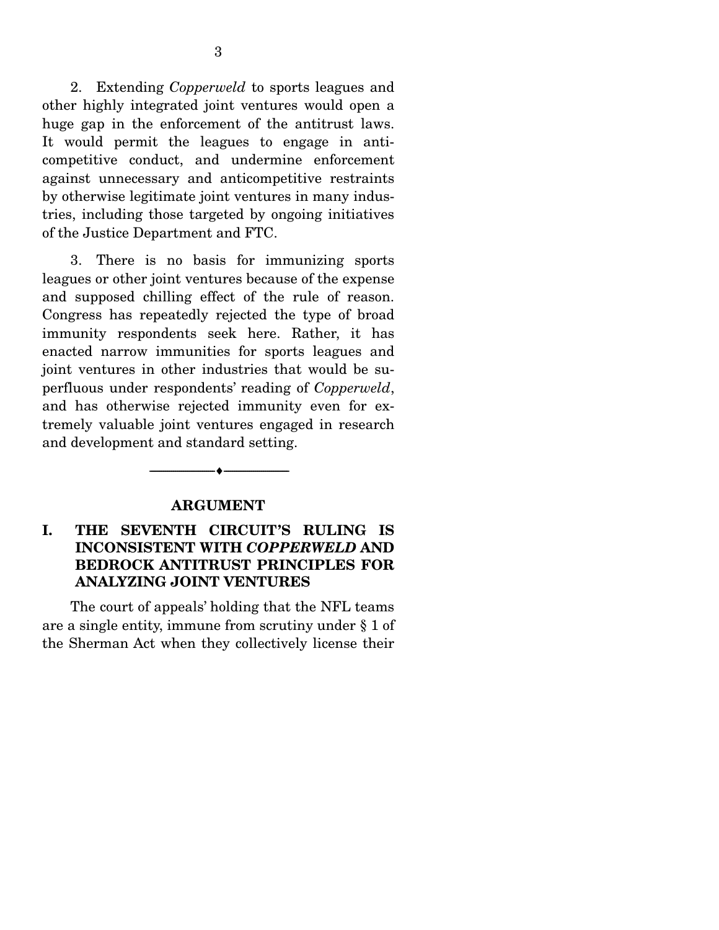2. Extending *Copperweld* to sports leagues and other highly integrated joint ventures would open a huge gap in the enforcement of the antitrust laws. It would permit the leagues to engage in anticompetitive conduct, and undermine enforcement against unnecessary and anticompetitive restraints by otherwise legitimate joint ventures in many industries, including those targeted by ongoing initiatives of the Justice Department and FTC.

 3. There is no basis for immunizing sports leagues or other joint ventures because of the expense and supposed chilling effect of the rule of reason. Congress has repeatedly rejected the type of broad immunity respondents seek here. Rather, it has enacted narrow immunities for sports leagues and joint ventures in other industries that would be superfluous under respondents' reading of *Copperweld*, and has otherwise rejected immunity even for extremely valuable joint ventures engaged in research and development and standard setting.

#### **ARGUMENT**

--------------------------------- ♦ ---------------------------------

## **I. THE SEVENTH CIRCUIT'S RULING IS INCONSISTENT WITH** *COPPERWELD* **AND BEDROCK ANTITRUST PRINCIPLES FOR ANALYZING JOINT VENTURES**

The court of appeals' holding that the NFL teams are a single entity, immune from scrutiny under § 1 of the Sherman Act when they collectively license their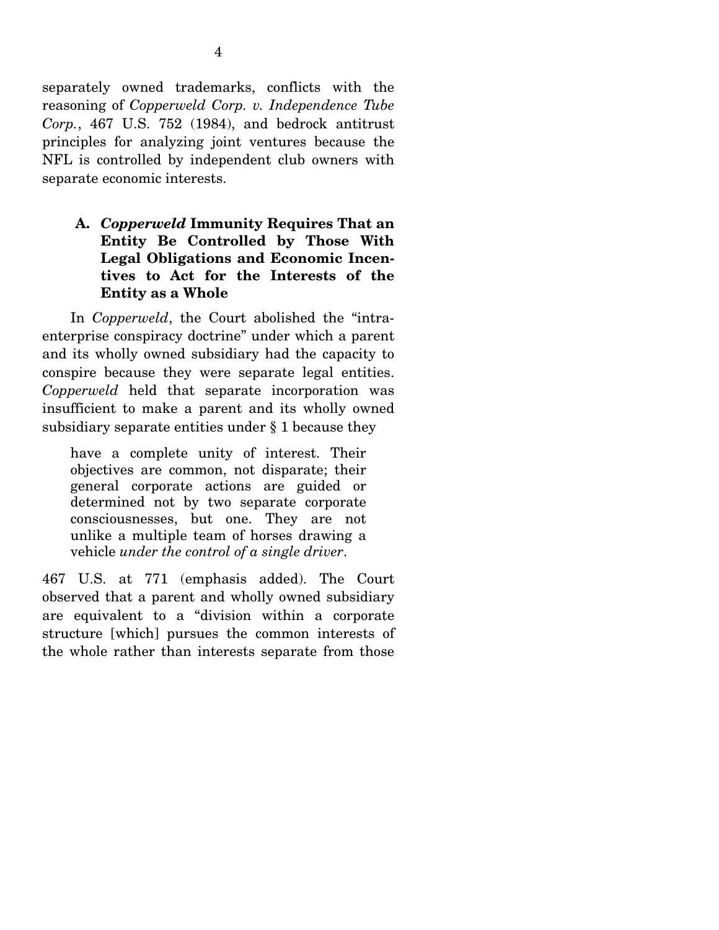separately owned trademarks, conflicts with the reasoning of *Copperweld Corp. v. Independence Tube Corp.*, 467 U.S. 752 (1984), and bedrock antitrust principles for analyzing joint ventures because the NFL is controlled by independent club owners with separate economic interests.

**A.** *Copperweld* **Immunity Requires That an Entity Be Controlled by Those With Legal Obligations and Economic Incentives to Act for the Interests of the Entity as a Whole** 

In *Copperweld*, the Court abolished the "intraenterprise conspiracy doctrine" under which a parent and its wholly owned subsidiary had the capacity to conspire because they were separate legal entities. *Copperweld* held that separate incorporation was insufficient to make a parent and its wholly owned subsidiary separate entities under § 1 because they

have a complete unity of interest. Their objectives are common, not disparate; their general corporate actions are guided or determined not by two separate corporate consciousnesses, but one. They are not unlike a multiple team of horses drawing a vehicle *under the control of a single driver*.

467 U.S. at 771 (emphasis added). The Court observed that a parent and wholly owned subsidiary are equivalent to a "division within a corporate structure [which] pursues the common interests of the whole rather than interests separate from those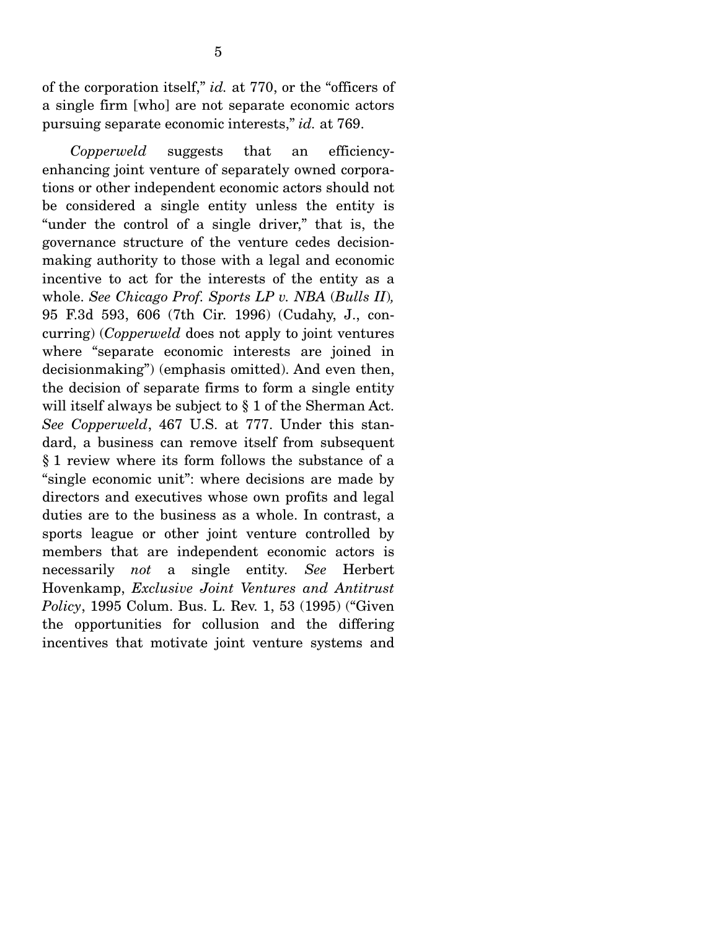of the corporation itself," *id.* at 770, or the "officers of a single firm [who] are not separate economic actors pursuing separate economic interests," *id.* at 769.

*Copperweld* suggests that an efficiencyenhancing joint venture of separately owned corporations or other independent economic actors should not be considered a single entity unless the entity is "under the control of a single driver," that is, the governance structure of the venture cedes decisionmaking authority to those with a legal and economic incentive to act for the interests of the entity as a whole. *See Chicago Prof. Sports LP v. NBA* (*Bulls II*)*,*  95 F.3d 593, 606 (7th Cir. 1996) (Cudahy, J., concurring) (*Copperweld* does not apply to joint ventures where "separate economic interests are joined in decisionmaking") (emphasis omitted). And even then, the decision of separate firms to form a single entity will itself always be subject to § 1 of the Sherman Act. *See Copperweld*, 467 U.S. at 777. Under this standard, a business can remove itself from subsequent § 1 review where its form follows the substance of a "single economic unit": where decisions are made by directors and executives whose own profits and legal duties are to the business as a whole. In contrast, a sports league or other joint venture controlled by members that are independent economic actors is necessarily *not* a single entity*. See* Herbert Hovenkamp, *Exclusive Joint Ventures and Antitrust Policy*, 1995 Colum. Bus. L. Rev. 1, 53 (1995) ("Given the opportunities for collusion and the differing incentives that motivate joint venture systems and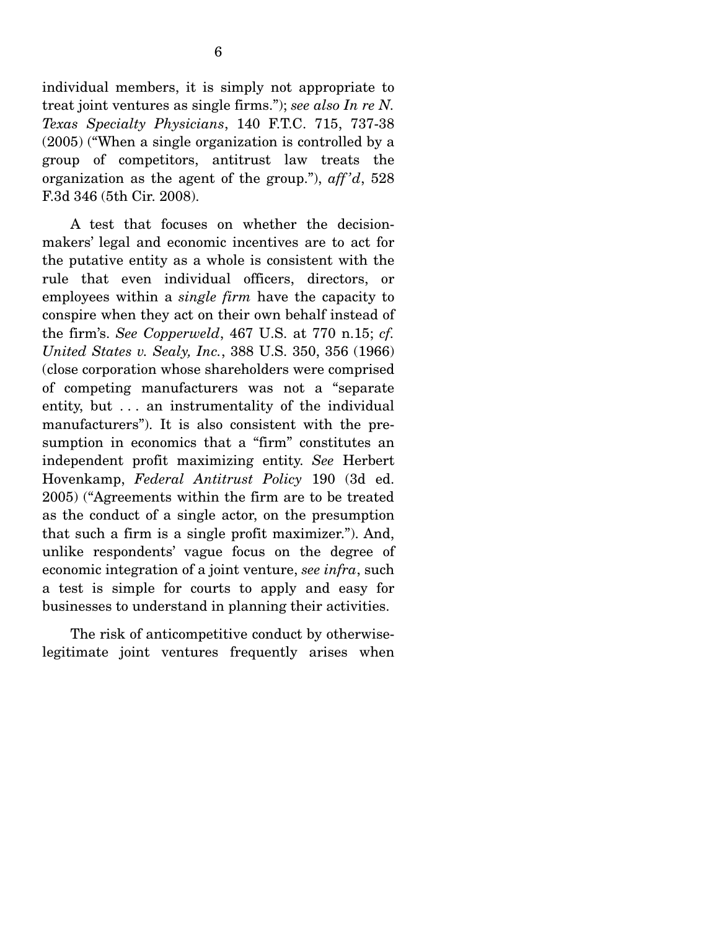individual members, it is simply not appropriate to treat joint ventures as single firms."); *see also In re N. Texas Specialty Physicians*, 140 F.T.C. 715, 737-38 (2005) ("When a single organization is controlled by a group of competitors, antitrust law treats the organization as the agent of the group."), *aff 'd*, 528 F.3d 346 (5th Cir. 2008).

 A test that focuses on whether the decisionmakers' legal and economic incentives are to act for the putative entity as a whole is consistent with the rule that even individual officers, directors, or employees within a *single firm* have the capacity to conspire when they act on their own behalf instead of the firm's. *See Copperweld*, 467 U.S. at 770 n.15; *cf. United States v. Sealy, Inc.*, 388 U.S. 350, 356 (1966) (close corporation whose shareholders were comprised of competing manufacturers was not a "separate entity, but . . . an instrumentality of the individual manufacturers"). It is also consistent with the presumption in economics that a "firm" constitutes an independent profit maximizing entity. *See* Herbert Hovenkamp, *Federal Antitrust Policy* 190 (3d ed. 2005) ("Agreements within the firm are to be treated as the conduct of a single actor, on the presumption that such a firm is a single profit maximizer."). And, unlike respondents' vague focus on the degree of economic integration of a joint venture, *see infra*, such a test is simple for courts to apply and easy for businesses to understand in planning their activities.

 The risk of anticompetitive conduct by otherwiselegitimate joint ventures frequently arises when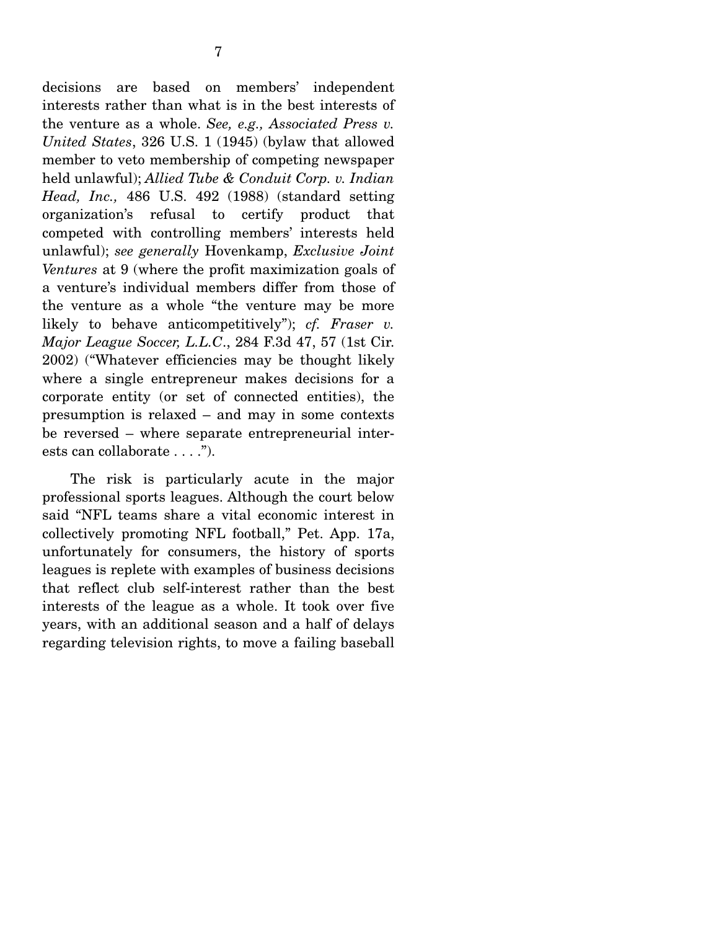decisions are based on members' independent interests rather than what is in the best interests of the venture as a whole. *See, e.g., Associated Press v. United States*, 326 U.S. 1 (1945) (bylaw that allowed member to veto membership of competing newspaper held unlawful); *Allied Tube & Conduit Corp. v. Indian Head, Inc.,* 486 U.S. 492 (1988) (standard setting organization's refusal to certify product that competed with controlling members' interests held unlawful); *see generally* Hovenkamp, *Exclusive Joint Ventures* at 9 (where the profit maximization goals of a venture's individual members differ from those of the venture as a whole "the venture may be more likely to behave anticompetitively"); *cf. Fraser v. Major League Soccer, L.L.C*., 284 F.3d 47, 57 (1st Cir. 2002) ("Whatever efficiencies may be thought likely where a single entrepreneur makes decisions for a corporate entity (or set of connected entities), the presumption is relaxed – and may in some contexts be reversed – where separate entrepreneurial interests can collaborate . . . .").

 The risk is particularly acute in the major professional sports leagues. Although the court below said "NFL teams share a vital economic interest in collectively promoting NFL football," Pet. App. 17a, unfortunately for consumers, the history of sports leagues is replete with examples of business decisions that reflect club self-interest rather than the best interests of the league as a whole. It took over five years, with an additional season and a half of delays regarding television rights, to move a failing baseball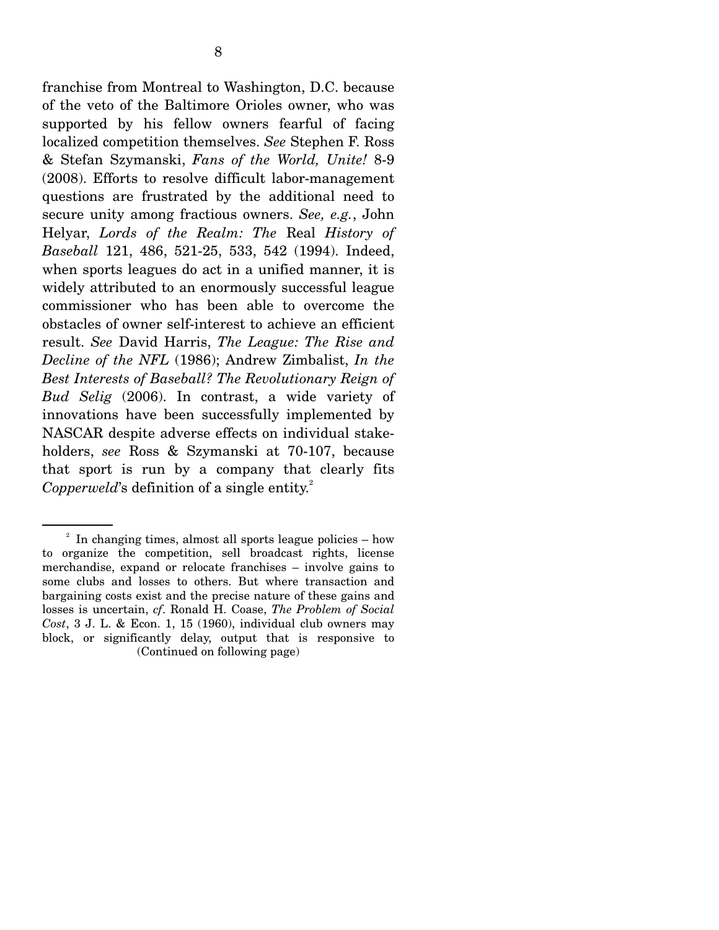franchise from Montreal to Washington, D.C. because of the veto of the Baltimore Orioles owner, who was supported by his fellow owners fearful of facing localized competition themselves. *See* Stephen F. Ross & Stefan Szymanski, *Fans of the World, Unite!* 8-9 (2008). Efforts to resolve difficult labor-management questions are frustrated by the additional need to secure unity among fractious owners. *See, e.g.*, John Helyar, *Lords of the Realm: The* Real *History of Baseball* 121, 486, 521-25, 533, 542 (1994). Indeed, when sports leagues do act in a unified manner, it is widely attributed to an enormously successful league commissioner who has been able to overcome the obstacles of owner self-interest to achieve an efficient result. *See* David Harris, *The League: The Rise and Decline of the NFL* (1986); Andrew Zimbalist, *In the Best Interests of Baseball? The Revolutionary Reign of Bud Selig* (2006). In contrast, a wide variety of innovations have been successfully implemented by NASCAR despite adverse effects on individual stakeholders, *see* Ross & Szymanski at 70-107, because that sport is run by a company that clearly fits *Copperweld*'s definition of a single entity.<sup>2</sup>

 $2\;\;$  In changing times, almost all sports league policies – how to organize the competition, sell broadcast rights, license merchandise, expand or relocate franchises – involve gains to some clubs and losses to others. But where transaction and bargaining costs exist and the precise nature of these gains and losses is uncertain, *cf*. Ronald H. Coase, *The Problem of Social Cost*, 3 J. L. & Econ. 1, 15 (1960), individual club owners may block, or significantly delay, output that is responsive to (Continued on following page)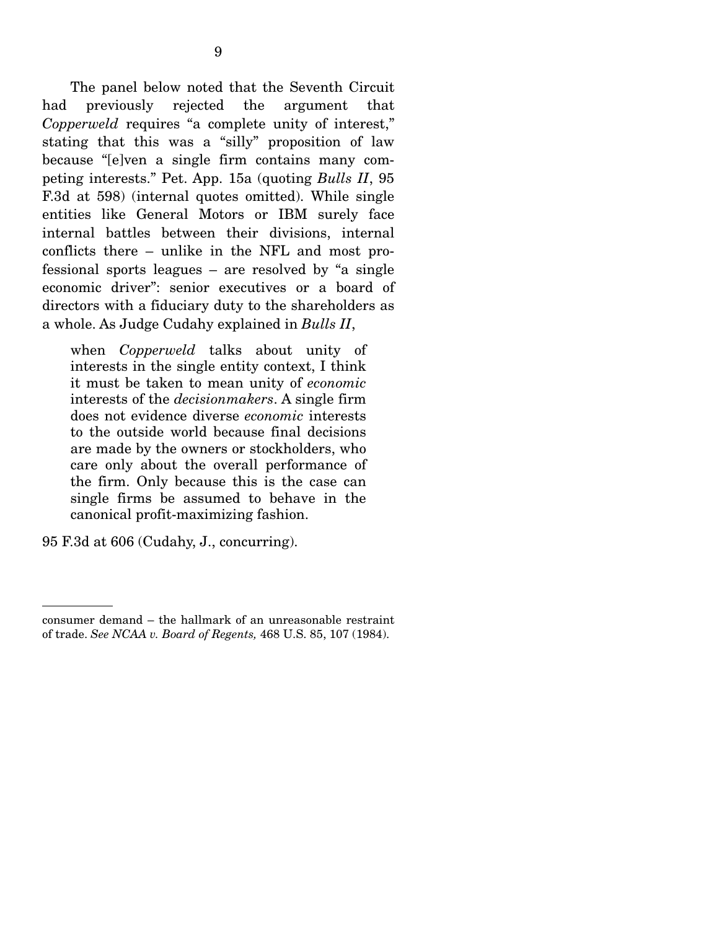The panel below noted that the Seventh Circuit had previously rejected the argument that *Copperweld* requires "a complete unity of interest," stating that this was a "silly" proposition of law because "[e]ven a single firm contains many competing interests." Pet. App. 15a (quoting *Bulls II*, 95 F.3d at 598) (internal quotes omitted). While single entities like General Motors or IBM surely face internal battles between their divisions, internal conflicts there – unlike in the NFL and most professional sports leagues – are resolved by "a single economic driver": senior executives or a board of directors with a fiduciary duty to the shareholders as a whole. As Judge Cudahy explained in *Bulls II*,

when *Copperweld* talks about unity of interests in the single entity context, I think it must be taken to mean unity of *economic* interests of the *decisionmakers*. A single firm does not evidence diverse *economic* interests to the outside world because final decisions are made by the owners or stockholders, who care only about the overall performance of the firm. Only because this is the case can single firms be assumed to behave in the canonical profit-maximizing fashion.

95 F.3d at 606 (Cudahy, J., concurring).

consumer demand – the hallmark of an unreasonable restraint of trade. *See NCAA v. Board of Regents,* 468 U.S. 85, 107 (1984).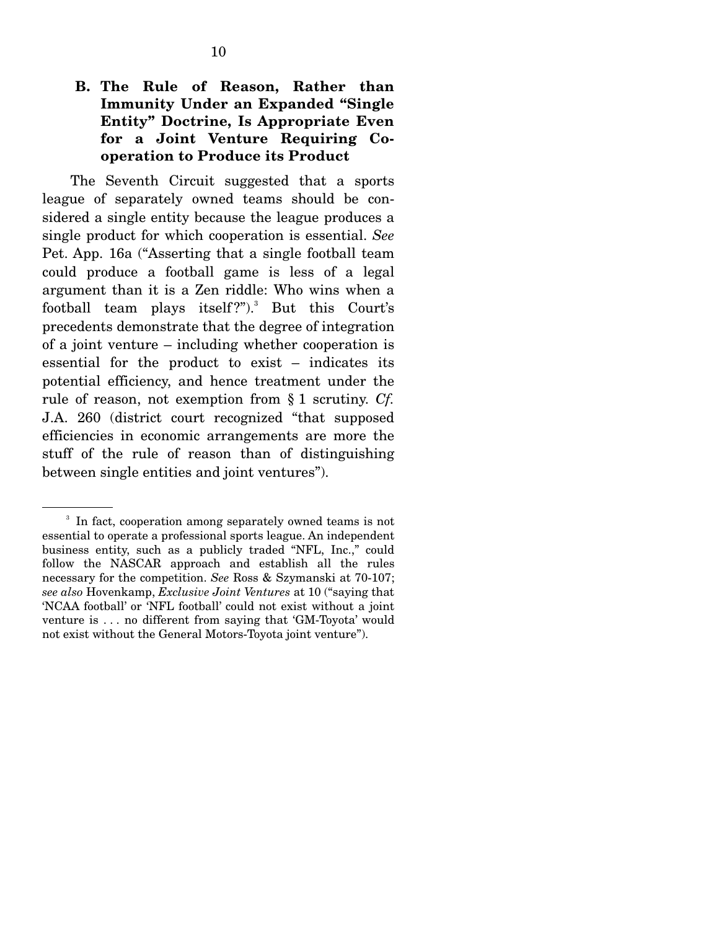## **B. The Rule of Reason, Rather than Immunity Under an Expanded "Single Entity" Doctrine, Is Appropriate Even for a Joint Venture Requiring Cooperation to Produce its Product**

The Seventh Circuit suggested that a sports league of separately owned teams should be considered a single entity because the league produces a single product for which cooperation is essential. *See*  Pet. App. 16a ("Asserting that a single football team could produce a football game is less of a legal argument than it is a Zen riddle: Who wins when a football team plays itself?").<sup>3</sup> But this Court's precedents demonstrate that the degree of integration of a joint venture – including whether cooperation is essential for the product to exist – indicates its potential efficiency, and hence treatment under the rule of reason, not exemption from § 1 scrutiny. *Cf.*  J.A. 260 (district court recognized "that supposed efficiencies in economic arrangements are more the stuff of the rule of reason than of distinguishing between single entities and joint ventures").

<sup>&</sup>lt;sup>3</sup> In fact, cooperation among separately owned teams is not essential to operate a professional sports league. An independent business entity, such as a publicly traded "NFL, Inc.," could follow the NASCAR approach and establish all the rules necessary for the competition. *See* Ross & Szymanski at 70-107; *see also* Hovenkamp, *Exclusive Joint Ventures* at 10 ("saying that 'NCAA football' or 'NFL football' could not exist without a joint venture is . . . no different from saying that 'GM-Toyota' would not exist without the General Motors-Toyota joint venture").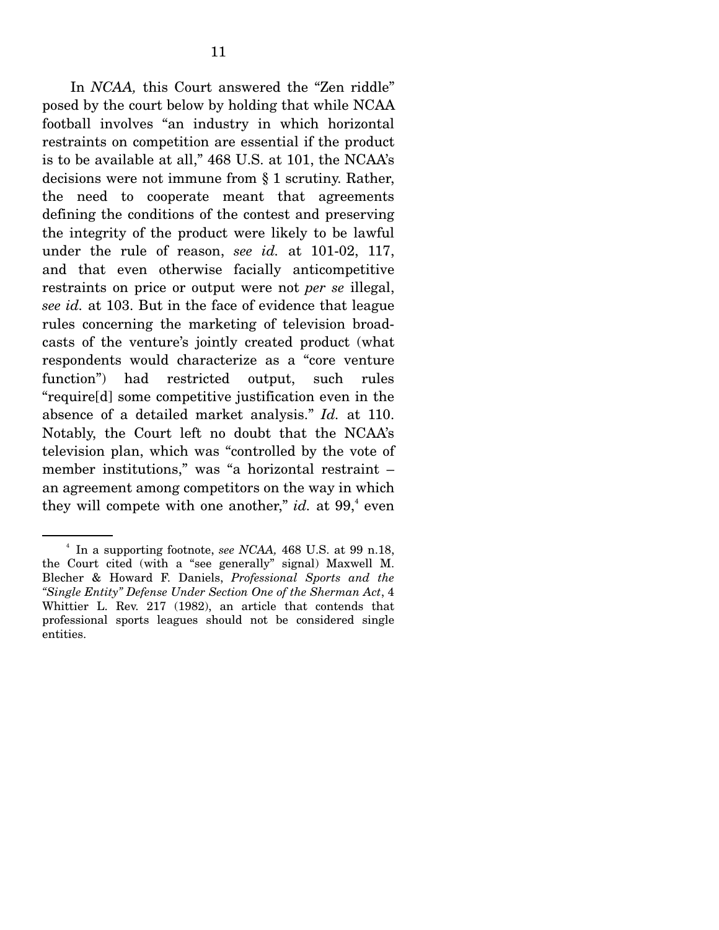In *NCAA,* this Court answered the "Zen riddle" posed by the court below by holding that while NCAA football involves "an industry in which horizontal restraints on competition are essential if the product is to be available at all," 468 U.S. at 101, the NCAA's decisions were not immune from § 1 scrutiny. Rather, the need to cooperate meant that agreements defining the conditions of the contest and preserving the integrity of the product were likely to be lawful under the rule of reason, *see id.* at 101-02, 117, and that even otherwise facially anticompetitive restraints on price or output were not *per se* illegal, *see id.* at 103. But in the face of evidence that league rules concerning the marketing of television broadcasts of the venture's jointly created product (what respondents would characterize as a "core venture function") had restricted output, such rules "require[d] some competitive justification even in the absence of a detailed market analysis." *Id.* at 110. Notably, the Court left no doubt that the NCAA's television plan, which was "controlled by the vote of member institutions," was "a horizontal restraint – an agreement among competitors on the way in which they will compete with one another," *id.* at  $99<sup>4</sup>$  even

<sup>4</sup> In a supporting footnote, *see NCAA,* 468 U.S. at 99 n.18, the Court cited (with a "see generally" signal) Maxwell M. Blecher & Howard F. Daniels, *Professional Sports and the "Single Entity" Defense Under Section One of the Sherman Act*, 4 Whittier L. Rev. 217 (1982), an article that contends that professional sports leagues should not be considered single entities.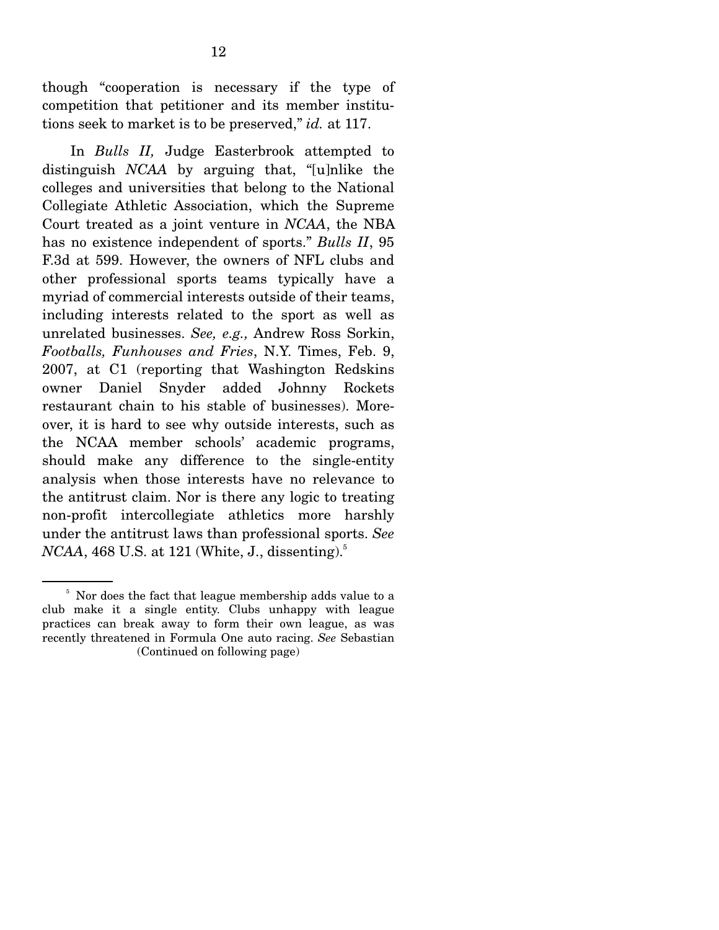though "cooperation is necessary if the type of competition that petitioner and its member institutions seek to market is to be preserved," *id.* at 117.

 In *Bulls II,* Judge Easterbrook attempted to distinguish *NCAA* by arguing that, "[u]nlike the colleges and universities that belong to the National Collegiate Athletic Association, which the Supreme Court treated as a joint venture in *NCAA*, the NBA has no existence independent of sports." *Bulls II*, 95 F.3d at 599. However, the owners of NFL clubs and other professional sports teams typically have a myriad of commercial interests outside of their teams, including interests related to the sport as well as unrelated businesses. *See, e.g.,* Andrew Ross Sorkin, *Footballs, Funhouses and Fries*, N.Y. Times, Feb. 9, 2007, at C1 (reporting that Washington Redskins owner Daniel Snyder added Johnny Rockets restaurant chain to his stable of businesses). Moreover, it is hard to see why outside interests, such as the NCAA member schools' academic programs, should make any difference to the single-entity analysis when those interests have no relevance to the antitrust claim. Nor is there any logic to treating non-profit intercollegiate athletics more harshly under the antitrust laws than professional sports. *See NCAA*, 468 U.S. at 121 (White, J., dissenting).<sup>5</sup>

<sup>&</sup>lt;sup>5</sup> Nor does the fact that league membership adds value to a club make it a single entity. Clubs unhappy with league practices can break away to form their own league, as was recently threatened in Formula One auto racing. *See* Sebastian (Continued on following page)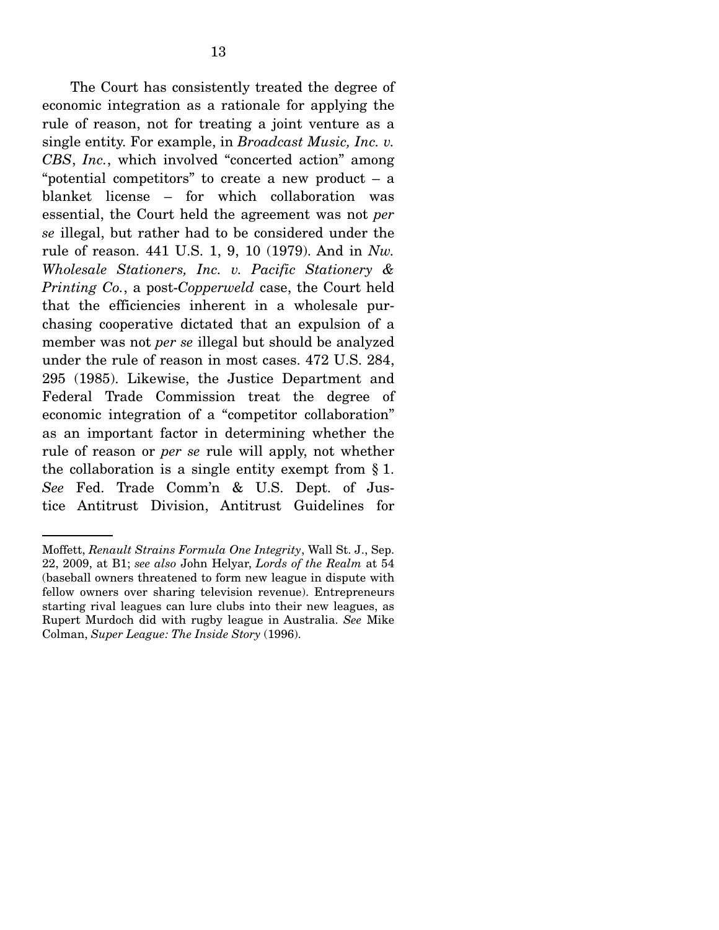The Court has consistently treated the degree of economic integration as a rationale for applying the rule of reason, not for treating a joint venture as a single entity. For example, in *Broadcast Music, Inc. v. CBS*, *Inc.*, which involved "concerted action" among "potential competitors" to create a new product  $-$  a blanket license – for which collaboration was essential, the Court held the agreement was not *per se* illegal, but rather had to be considered under the rule of reason. 441 U.S. 1, 9, 10 (1979). And in *Nw. Wholesale Stationers, Inc. v. Pacific Stationery & Printing Co.*, a post-*Copperweld* case, the Court held that the efficiencies inherent in a wholesale purchasing cooperative dictated that an expulsion of a member was not *per se* illegal but should be analyzed under the rule of reason in most cases. 472 U.S. 284, 295 (1985). Likewise, the Justice Department and Federal Trade Commission treat the degree of economic integration of a "competitor collaboration" as an important factor in determining whether the rule of reason or *per se* rule will apply, not whether the collaboration is a single entity exempt from § 1. *See* Fed. Trade Comm'n & U.S. Dept. of Justice Antitrust Division, Antitrust Guidelines for

Moffett, *Renault Strains Formula One Integrity*, Wall St. J., Sep. 22, 2009, at B1; *see also* John Helyar, *Lords of the Realm* at 54 (baseball owners threatened to form new league in dispute with fellow owners over sharing television revenue). Entrepreneurs starting rival leagues can lure clubs into their new leagues, as Rupert Murdoch did with rugby league in Australia. *See* Mike Colman, *Super League: The Inside Story* (1996).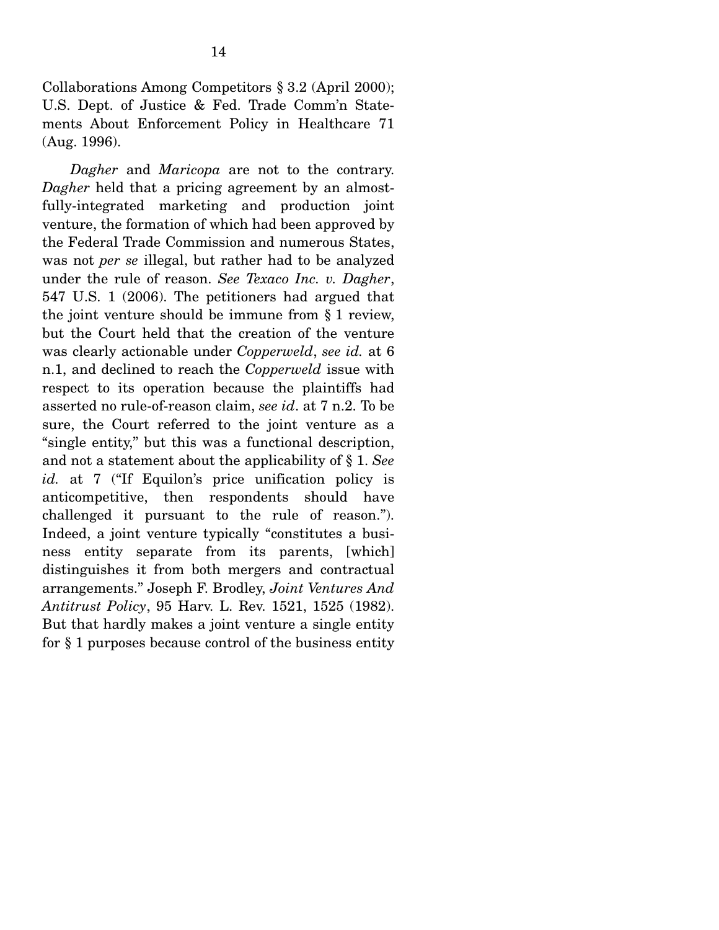Collaborations Among Competitors § 3.2 (April 2000); U.S. Dept. of Justice & Fed. Trade Comm'n Statements About Enforcement Policy in Healthcare 71 (Aug. 1996).

*Dagher* and *Maricopa* are not to the contrary. *Dagher* held that a pricing agreement by an almostfully-integrated marketing and production joint venture, the formation of which had been approved by the Federal Trade Commission and numerous States, was not *per se* illegal, but rather had to be analyzed under the rule of reason. *See Texaco Inc. v. Dagher*, 547 U.S. 1 (2006). The petitioners had argued that the joint venture should be immune from § 1 review, but the Court held that the creation of the venture was clearly actionable under *Copperweld*, *see id.* at 6 n.1, and declined to reach the *Copperweld* issue with respect to its operation because the plaintiffs had asserted no rule-of-reason claim, *see id*. at 7 n.2. To be sure, the Court referred to the joint venture as a "single entity," but this was a functional description, and not a statement about the applicability of § 1. *See id.* at 7 ("If Equilon's price unification policy is anticompetitive, then respondents should have challenged it pursuant to the rule of reason."). Indeed, a joint venture typically "constitutes a business entity separate from its parents, [which] distinguishes it from both mergers and contractual arrangements." Joseph F. Brodley, *Joint Ventures And Antitrust Policy*, 95 Harv. L. Rev. 1521, 1525 (1982). But that hardly makes a joint venture a single entity for § 1 purposes because control of the business entity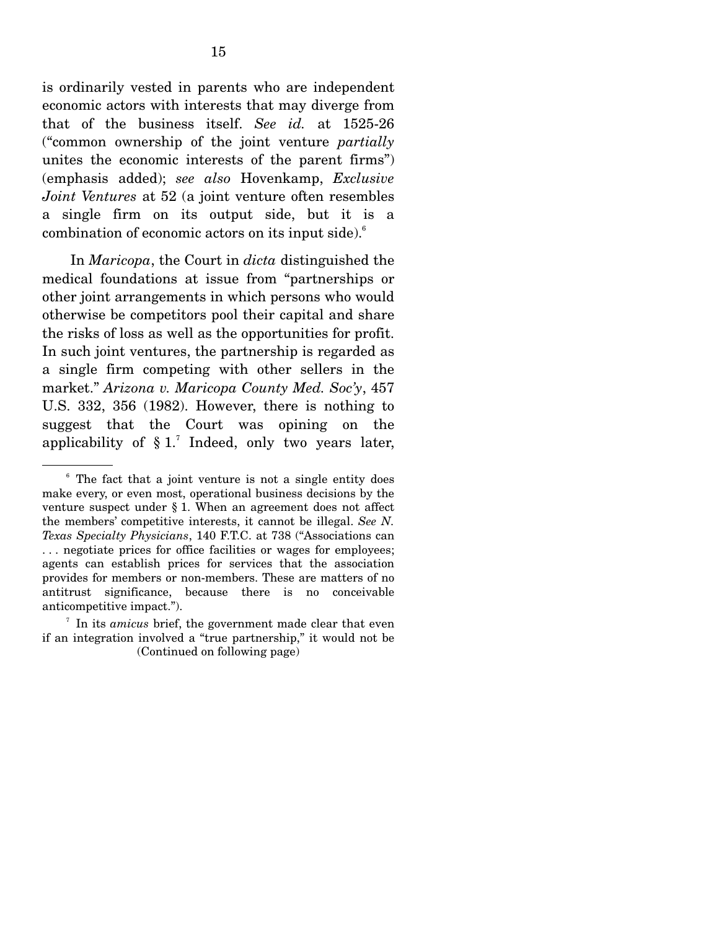is ordinarily vested in parents who are independent economic actors with interests that may diverge from that of the business itself. *See id.* at 1525-26 ("common ownership of the joint venture *partially*  unites the economic interests of the parent firms") (emphasis added); *see also* Hovenkamp, *Exclusive Joint Ventures* at 52 (a joint venture often resembles a single firm on its output side, but it is a combination of economic actors on its input side).<sup>6</sup>

 In *Maricopa*, the Court in *dicta* distinguished the medical foundations at issue from "partnerships or other joint arrangements in which persons who would otherwise be competitors pool their capital and share the risks of loss as well as the opportunities for profit. In such joint ventures, the partnership is regarded as a single firm competing with other sellers in the market." *Arizona v. Maricopa County Med. Soc'y*, 457 U.S. 332, 356 (1982). However, there is nothing to suggest that the Court was opining on the applicability of  $\S 1$ .<sup>7</sup> Indeed, only two years later,

<sup>&</sup>lt;sup>6</sup> The fact that a joint venture is not a single entity does make every, or even most, operational business decisions by the venture suspect under § 1. When an agreement does not affect the members' competitive interests, it cannot be illegal. *See N. Texas Specialty Physicians*, 140 F.T.C. at 738 ("Associations can . . . negotiate prices for office facilities or wages for employees; agents can establish prices for services that the association provides for members or non-members. These are matters of no antitrust significance, because there is no conceivable anticompetitive impact.").

<sup>7</sup> In its *amicus* brief, the government made clear that even if an integration involved a "true partnership," it would not be (Continued on following page)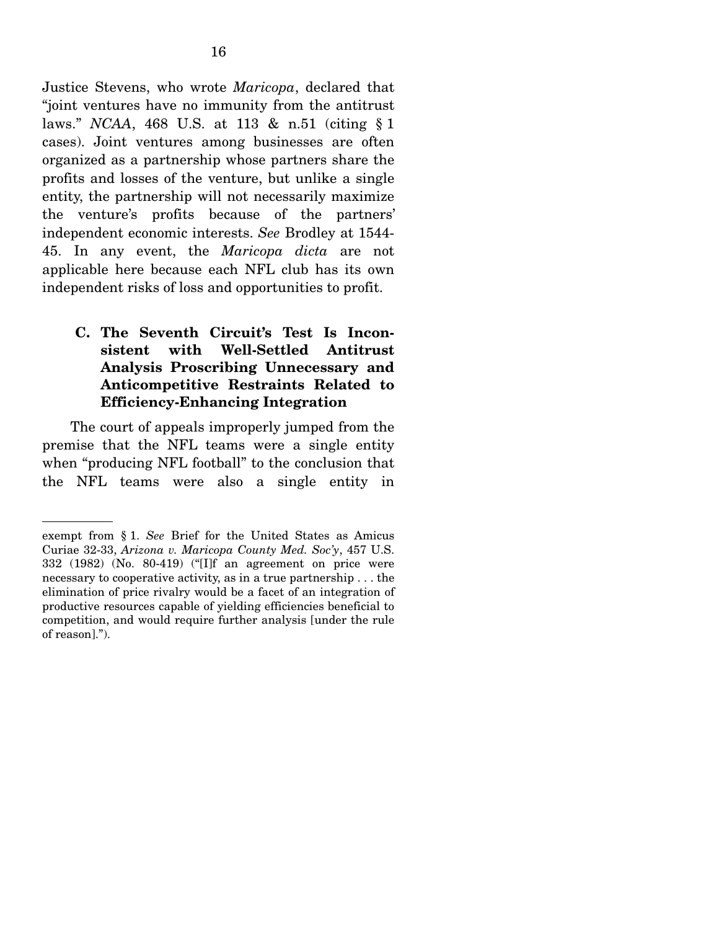Justice Stevens, who wrote *Maricopa*, declared that "joint ventures have no immunity from the antitrust laws." *NCAA*, 468 U.S. at 113 & n.51 (citing § 1 cases). Joint ventures among businesses are often organized as a partnership whose partners share the profits and losses of the venture, but unlike a single entity, the partnership will not necessarily maximize the venture's profits because of the partners' independent economic interests. *See* Brodley at 1544- 45. In any event, the *Maricopa dicta* are not applicable here because each NFL club has its own independent risks of loss and opportunities to profit.

## **C. The Seventh Circuit's Test Is Inconsistent with Well-Settled Antitrust Analysis Proscribing Unnecessary and Anticompetitive Restraints Related to Efficiency-Enhancing Integration**

The court of appeals improperly jumped from the premise that the NFL teams were a single entity when "producing NFL football" to the conclusion that the NFL teams were also a single entity in

exempt from § 1. *See* Brief for the United States as Amicus Curiae 32-33, *Arizona v. Maricopa County Med. Soc'y*, 457 U.S. 332 (1982) (No. 80-419) ("[I]f an agreement on price were necessary to cooperative activity, as in a true partnership . . . the elimination of price rivalry would be a facet of an integration of productive resources capable of yielding efficiencies beneficial to competition, and would require further analysis [under the rule of reason].").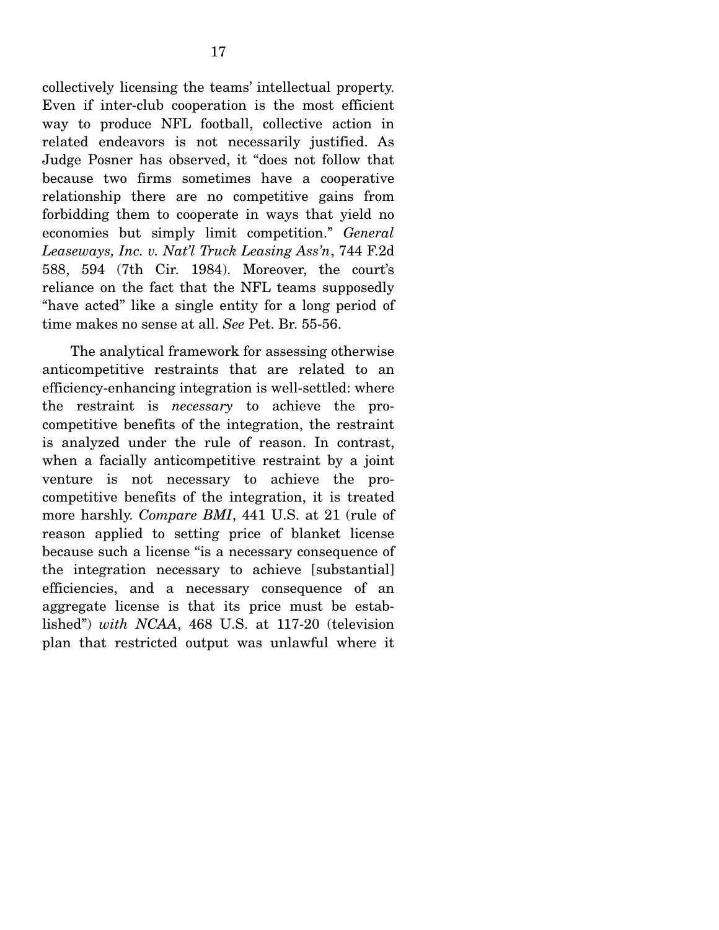collectively licensing the teams' intellectual property. Even if inter-club cooperation is the most efficient way to produce NFL football, collective action in related endeavors is not necessarily justified. As Judge Posner has observed, it "does not follow that because two firms sometimes have a cooperative relationship there are no competitive gains from forbidding them to cooperate in ways that yield no economies but simply limit competition." *General Leaseways, Inc. v. Nat'l Truck Leasing Ass'n*, 744 F.2d 588, 594 (7th Cir. 1984). Moreover, the court's reliance on the fact that the NFL teams supposedly "have acted" like a single entity for a long period of time makes no sense at all. *See* Pet. Br. 55-56.

 The analytical framework for assessing otherwise anticompetitive restraints that are related to an efficiency-enhancing integration is well-settled: where the restraint is *necessary* to achieve the procompetitive benefits of the integration, the restraint is analyzed under the rule of reason. In contrast, when a facially anticompetitive restraint by a joint venture is not necessary to achieve the procompetitive benefits of the integration, it is treated more harshly. *Compare BMI*, 441 U.S. at 21 (rule of reason applied to setting price of blanket license because such a license "is a necessary consequence of the integration necessary to achieve [substantial] efficiencies, and a necessary consequence of an aggregate license is that its price must be established") *with NCAA*, 468 U.S. at 117-20 (television plan that restricted output was unlawful where it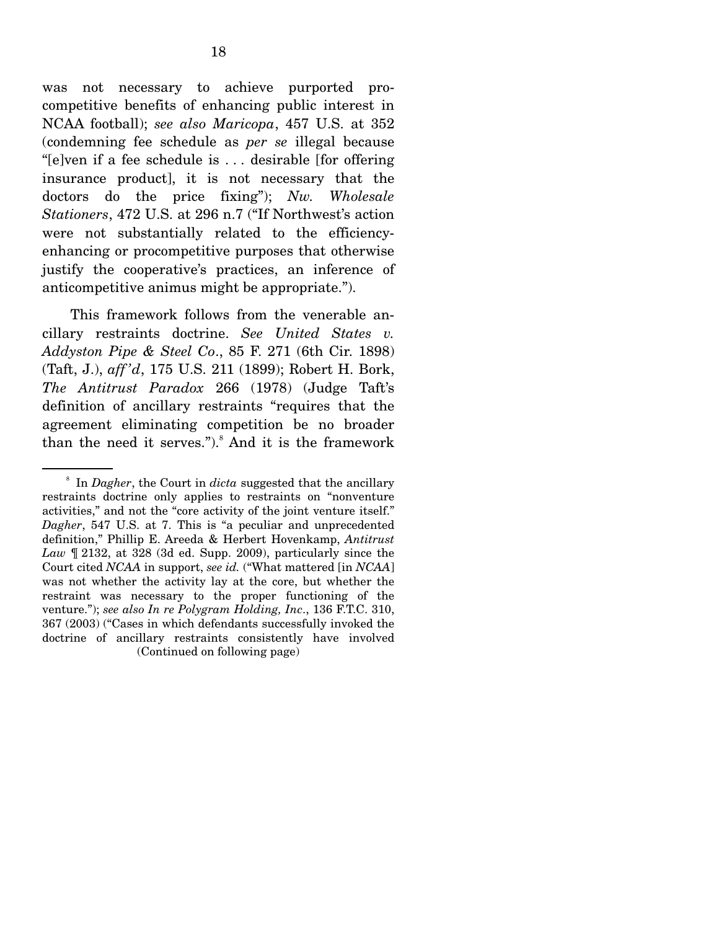was not necessary to achieve purported procompetitive benefits of enhancing public interest in NCAA football); *see also Maricopa*, 457 U.S. at 352 (condemning fee schedule as *per se* illegal because "[e]ven if a fee schedule is . . . desirable [for offering insurance product], it is not necessary that the doctors do the price fixing"); *Nw. Wholesale Stationers*, 472 U.S. at 296 n.7 ("If Northwest's action were not substantially related to the efficiencyenhancing or procompetitive purposes that otherwise justify the cooperative's practices, an inference of anticompetitive animus might be appropriate.").

 This framework follows from the venerable ancillary restraints doctrine. *See United States v. Addyston Pipe & Steel Co*., 85 F. 271 (6th Cir. 1898) (Taft, J.), *aff 'd*, 175 U.S. 211 (1899); Robert H. Bork, *The Antitrust Paradox* 266 (1978) (Judge Taft's definition of ancillary restraints "requires that the agreement eliminating competition be no broader than the need it serves.").<sup>8</sup> And it is the framework

<sup>8</sup> In *Dagher*, the Court in *dicta* suggested that the ancillary restraints doctrine only applies to restraints on "nonventure activities," and not the "core activity of the joint venture itself." *Dagher*, 547 U.S. at 7. This is "a peculiar and unprecedented definition," Phillip E. Areeda & Herbert Hovenkamp, *Antitrust Law* ¶ 2132, at 328 (3d ed. Supp. 2009), particularly since the Court cited *NCAA* in support, *see id.* ("What mattered [in *NCAA*] was not whether the activity lay at the core, but whether the restraint was necessary to the proper functioning of the venture."); *see also In re Polygram Holding, Inc*., 136 F.T.C. 310, 367 (2003) ("Cases in which defendants successfully invoked the doctrine of ancillary restraints consistently have involved (Continued on following page)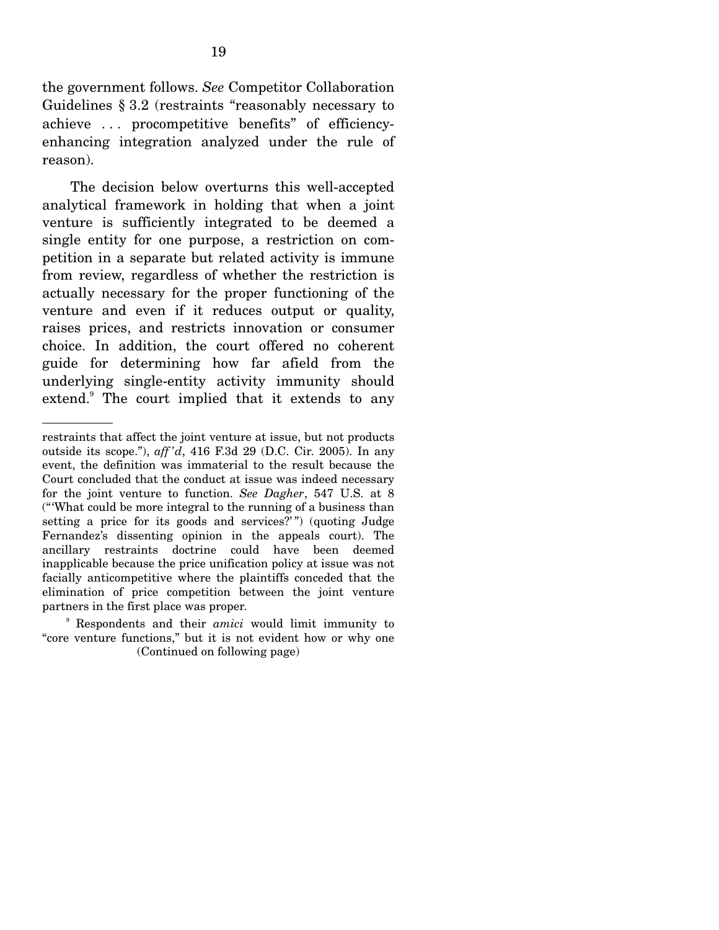the government follows. *See* Competitor Collaboration Guidelines § 3.2 (restraints "reasonably necessary to achieve . . . procompetitive benefits" of efficiencyenhancing integration analyzed under the rule of reason).

 The decision below overturns this well-accepted analytical framework in holding that when a joint venture is sufficiently integrated to be deemed a single entity for one purpose, a restriction on competition in a separate but related activity is immune from review, regardless of whether the restriction is actually necessary for the proper functioning of the venture and even if it reduces output or quality, raises prices, and restricts innovation or consumer choice. In addition, the court offered no coherent guide for determining how far afield from the underlying single-entity activity immunity should extend.<sup>9</sup> The court implied that it extends to any

9 Respondents and their *amici* would limit immunity to "core venture functions," but it is not evident how or why one (Continued on following page)

restraints that affect the joint venture at issue, but not products outside its scope."), *aff 'd*, 416 F.3d 29 (D.C. Cir. 2005). In any event, the definition was immaterial to the result because the Court concluded that the conduct at issue was indeed necessary for the joint venture to function. *See Dagher*, 547 U.S. at 8 ("'What could be more integral to the running of a business than setting a price for its goods and services?") (quoting Judge Fernandez's dissenting opinion in the appeals court). The ancillary restraints doctrine could have been deemed inapplicable because the price unification policy at issue was not facially anticompetitive where the plaintiffs conceded that the elimination of price competition between the joint venture partners in the first place was proper.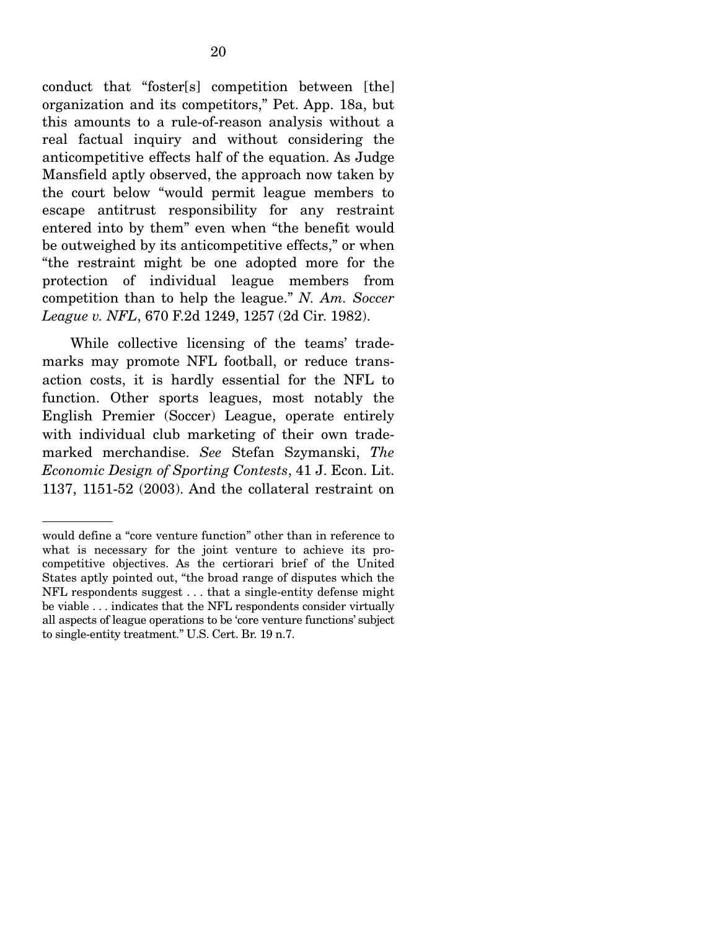conduct that "foster[s] competition between [the] organization and its competitors," Pet. App. 18a, but this amounts to a rule-of-reason analysis without a real factual inquiry and without considering the anticompetitive effects half of the equation. As Judge Mansfield aptly observed, the approach now taken by the court below "would permit league members to escape antitrust responsibility for any restraint entered into by them" even when "the benefit would be outweighed by its anticompetitive effects," or when "the restraint might be one adopted more for the protection of individual league members from competition than to help the league." *N. Am. Soccer League v. NFL*, 670 F.2d 1249, 1257 (2d Cir. 1982).

 While collective licensing of the teams' trademarks may promote NFL football, or reduce transaction costs, it is hardly essential for the NFL to function. Other sports leagues, most notably the English Premier (Soccer) League, operate entirely with individual club marketing of their own trademarked merchandise. *See* Stefan Szymanski, *The Economic Design of Sporting Contests*, 41 J. Econ. Lit. 1137, 1151-52 (2003). And the collateral restraint on

would define a "core venture function" other than in reference to what is necessary for the joint venture to achieve its procompetitive objectives. As the certiorari brief of the United States aptly pointed out, "the broad range of disputes which the NFL respondents suggest . . . that a single-entity defense might be viable . . . indicates that the NFL respondents consider virtually all aspects of league operations to be 'core venture functions' subject to single-entity treatment." U.S. Cert. Br. 19 n.7.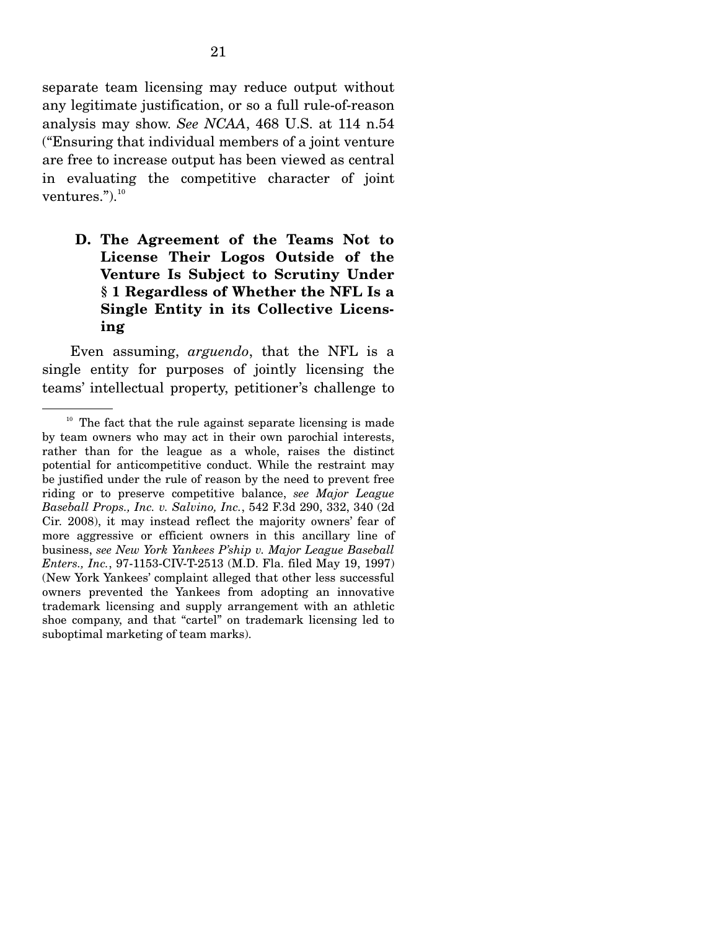separate team licensing may reduce output without any legitimate justification, or so a full rule-of-reason analysis may show. *See NCAA*, 468 U.S. at 114 n.54 ("Ensuring that individual members of a joint venture are free to increase output has been viewed as central in evaluating the competitive character of joint ventures."). $^{10}$ 

## **D. The Agreement of the Teams Not to License Their Logos Outside of the Venture Is Subject to Scrutiny Under § 1 Regardless of Whether the NFL Is a Single Entity in its Collective Licensing**

Even assuming, *arguendo*, that the NFL is a single entity for purposes of jointly licensing the teams' intellectual property, petitioner's challenge to

 $10$  The fact that the rule against separate licensing is made by team owners who may act in their own parochial interests, rather than for the league as a whole, raises the distinct potential for anticompetitive conduct. While the restraint may be justified under the rule of reason by the need to prevent free riding or to preserve competitive balance, *see Major League Baseball Props., Inc. v. Salvino, Inc.*, 542 F.3d 290, 332, 340 (2d Cir. 2008), it may instead reflect the majority owners' fear of more aggressive or efficient owners in this ancillary line of business, *see New York Yankees P'ship v. Major League Baseball Enters., Inc.*, 97-1153-CIV-T-2513 (M.D. Fla. filed May 19, 1997) (New York Yankees' complaint alleged that other less successful owners prevented the Yankees from adopting an innovative trademark licensing and supply arrangement with an athletic shoe company, and that "cartel" on trademark licensing led to suboptimal marketing of team marks).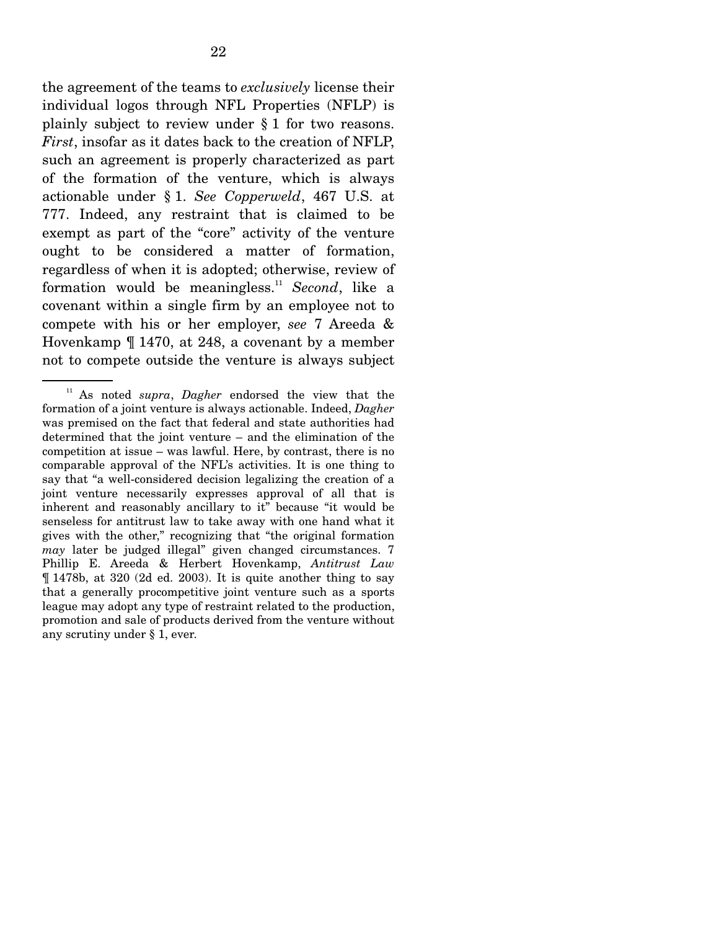the agreement of the teams to *exclusively* license their individual logos through NFL Properties (NFLP) is plainly subject to review under § 1 for two reasons. *First*, insofar as it dates back to the creation of NFLP, such an agreement is properly characterized as part of the formation of the venture, which is always actionable under § 1. *See Copperweld*, 467 U.S. at 777. Indeed, any restraint that is claimed to be exempt as part of the "core" activity of the venture ought to be considered a matter of formation, regardless of when it is adopted; otherwise, review of formation would be meaningless.11 *Second*, like a covenant within a single firm by an employee not to compete with his or her employer, *see* 7 Areeda & Hovenkamp ¶ 1470, at 248, a covenant by a member not to compete outside the venture is always subject

<sup>11</sup> As noted *supra*, *Dagher* endorsed the view that the formation of a joint venture is always actionable. Indeed, *Dagher* was premised on the fact that federal and state authorities had determined that the joint venture – and the elimination of the competition at issue – was lawful. Here, by contrast, there is no comparable approval of the NFL's activities. It is one thing to say that "a well-considered decision legalizing the creation of a joint venture necessarily expresses approval of all that is inherent and reasonably ancillary to it" because "it would be senseless for antitrust law to take away with one hand what it gives with the other," recognizing that "the original formation *may* later be judged illegal" given changed circumstances. 7 Phillip E. Areeda & Herbert Hovenkamp, *Antitrust Law* ¶ 1478b, at 320 (2d ed. 2003). It is quite another thing to say that a generally procompetitive joint venture such as a sports league may adopt any type of restraint related to the production, promotion and sale of products derived from the venture without any scrutiny under § 1, ever.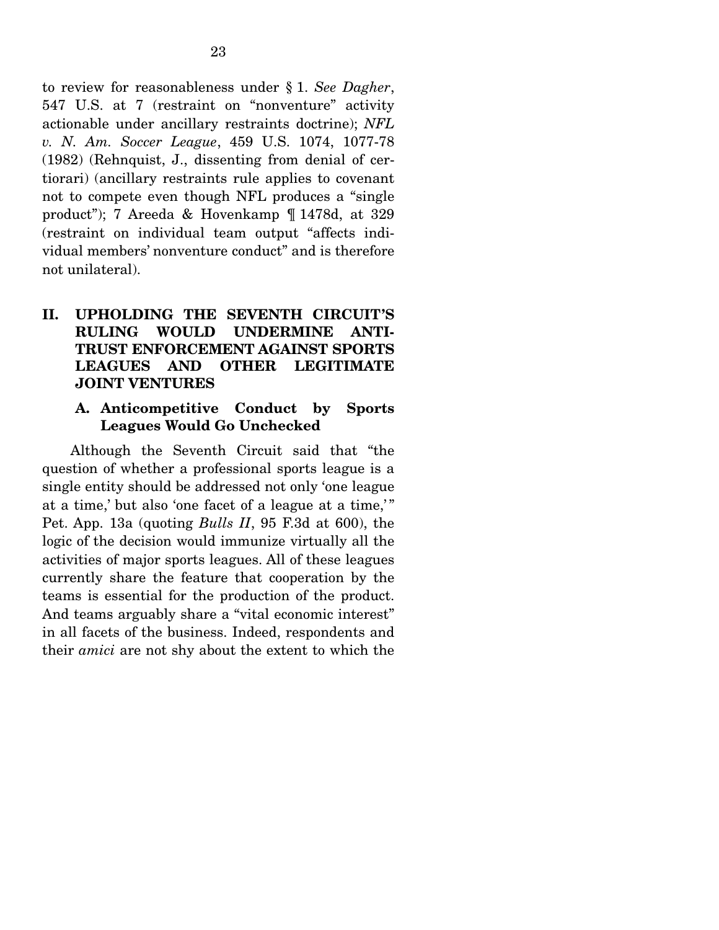to review for reasonableness under § 1. *See Dagher*, 547 U.S. at 7 (restraint on "nonventure" activity actionable under ancillary restraints doctrine); *NFL v. N. Am. Soccer League*, 459 U.S. 1074, 1077-78 (1982) (Rehnquist, J., dissenting from denial of certiorari) (ancillary restraints rule applies to covenant not to compete even though NFL produces a "single product"); 7 Areeda & Hovenkamp ¶ 1478d, at 329 (restraint on individual team output "affects individual members' nonventure conduct" and is therefore not unilateral).

## **II. UPHOLDING THE SEVENTH CIRCUIT'S RULING WOULD UNDERMINE ANTI-TRUST ENFORCEMENT AGAINST SPORTS LEAGUES AND OTHER LEGITIMATE JOINT VENTURES**

#### **A. Anticompetitive Conduct by Sports Leagues Would Go Unchecked**

Although the Seventh Circuit said that "the question of whether a professional sports league is a single entity should be addressed not only 'one league at a time,' but also 'one facet of a league at a time,'" Pet. App. 13a (quoting *Bulls II*, 95 F.3d at 600), the logic of the decision would immunize virtually all the activities of major sports leagues. All of these leagues currently share the feature that cooperation by the teams is essential for the production of the product. And teams arguably share a "vital economic interest" in all facets of the business. Indeed, respondents and their *amici* are not shy about the extent to which the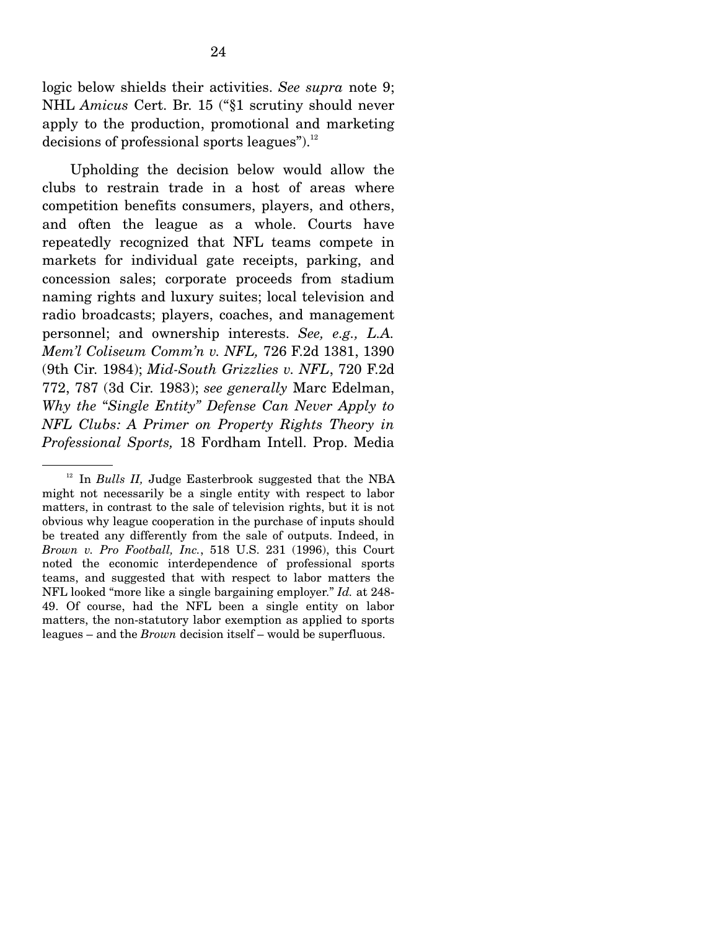logic below shields their activities. *See supra* note 9; NHL *Amicus* Cert. Br. 15 ("§1 scrutiny should never apply to the production, promotional and marketing decisions of professional sports leagues"). $^{12}$ 

 Upholding the decision below would allow the clubs to restrain trade in a host of areas where competition benefits consumers, players, and others, and often the league as a whole. Courts have repeatedly recognized that NFL teams compete in markets for individual gate receipts, parking, and concession sales; corporate proceeds from stadium naming rights and luxury suites; local television and radio broadcasts; players, coaches, and management personnel; and ownership interests. *See, e.g., L.A. Mem'l Coliseum Comm'n v. NFL,* 726 F.2d 1381, 1390 (9th Cir. 1984); *Mid-South Grizzlies v. NFL*, 720 F.2d 772, 787 (3d Cir. 1983); *see generally* Marc Edelman, *Why the* "*Single Entity" Defense Can Never Apply to NFL Clubs: A Primer on Property Rights Theory in Professional Sports,* 18 Fordham Intell. Prop. Media

<sup>12</sup> In *Bulls II,* Judge Easterbrook suggested that the NBA might not necessarily be a single entity with respect to labor matters, in contrast to the sale of television rights, but it is not obvious why league cooperation in the purchase of inputs should be treated any differently from the sale of outputs. Indeed, in *Brown v. Pro Football, Inc.*, 518 U.S. 231 (1996), this Court noted the economic interdependence of professional sports teams, and suggested that with respect to labor matters the NFL looked "more like a single bargaining employer." *Id.* at 248- 49. Of course, had the NFL been a single entity on labor matters, the non-statutory labor exemption as applied to sports leagues – and the *Brown* decision itself – would be superfluous.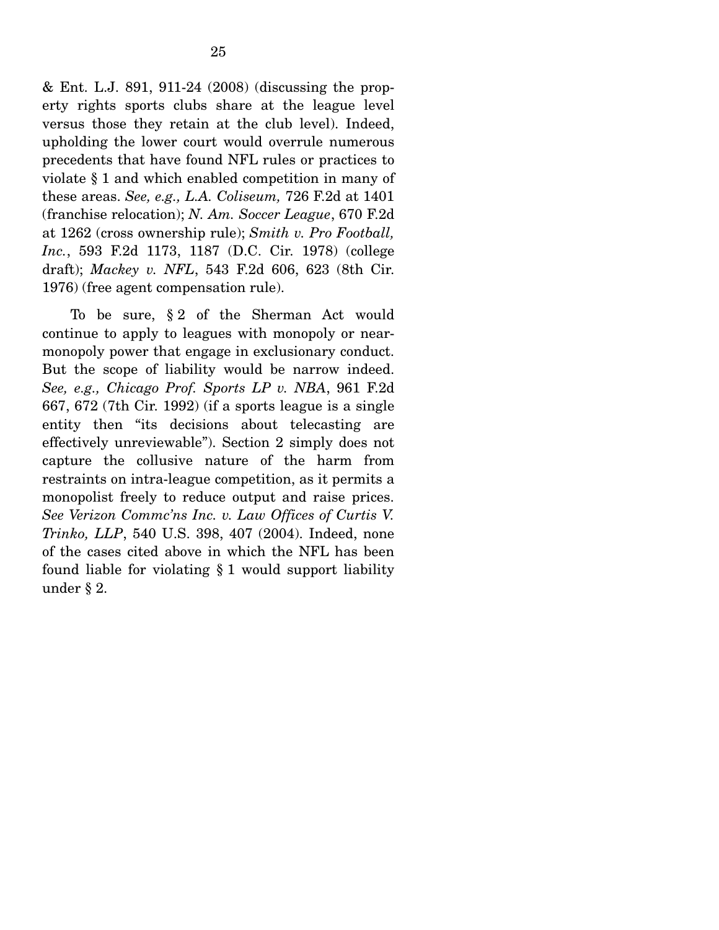& Ent. L.J. 891, 911-24 (2008) (discussing the property rights sports clubs share at the league level versus those they retain at the club level). Indeed, upholding the lower court would overrule numerous precedents that have found NFL rules or practices to violate § 1 and which enabled competition in many of these areas. *See, e.g., L.A. Coliseum,* 726 F.2d at 1401 (franchise relocation); *N. Am. Soccer League*, 670 F.2d at 1262 (cross ownership rule); *Smith v. Pro Football, Inc.*, 593 F.2d 1173, 1187 (D.C. Cir. 1978) (college draft); *Mackey v. NFL*, 543 F.2d 606, 623 (8th Cir. 1976) (free agent compensation rule).

 To be sure, § 2 of the Sherman Act would continue to apply to leagues with monopoly or nearmonopoly power that engage in exclusionary conduct. But the scope of liability would be narrow indeed. *See, e.g., Chicago Prof. Sports LP v. NBA*, 961 F.2d 667, 672 (7th Cir. 1992) (if a sports league is a single entity then "its decisions about telecasting are effectively unreviewable"). Section 2 simply does not capture the collusive nature of the harm from restraints on intra-league competition, as it permits a monopolist freely to reduce output and raise prices. *See Verizon Commc'ns Inc. v. Law Offices of Curtis V. Trinko, LLP*, 540 U.S. 398, 407 (2004). Indeed, none of the cases cited above in which the NFL has been found liable for violating § 1 would support liability under § 2.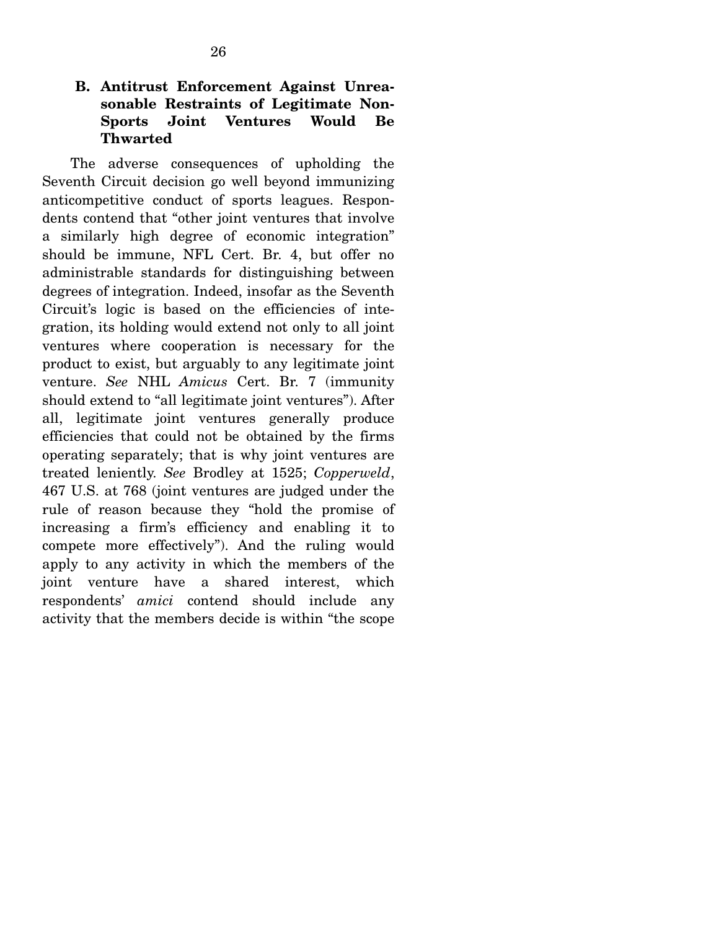## **B. Antitrust Enforcement Against Unreasonable Restraints of Legitimate Non-Sports Joint Ventures Would Be Thwarted**

The adverse consequences of upholding the Seventh Circuit decision go well beyond immunizing anticompetitive conduct of sports leagues. Respondents contend that "other joint ventures that involve a similarly high degree of economic integration" should be immune, NFL Cert. Br. 4, but offer no administrable standards for distinguishing between degrees of integration. Indeed, insofar as the Seventh Circuit's logic is based on the efficiencies of integration, its holding would extend not only to all joint ventures where cooperation is necessary for the product to exist, but arguably to any legitimate joint venture. *See* NHL *Amicus* Cert. Br. 7 (immunity should extend to "all legitimate joint ventures"). After all, legitimate joint ventures generally produce efficiencies that could not be obtained by the firms operating separately; that is why joint ventures are treated leniently. *See* Brodley at 1525; *Copperweld*, 467 U.S. at 768 (joint ventures are judged under the rule of reason because they "hold the promise of increasing a firm's efficiency and enabling it to compete more effectively"). And the ruling would apply to any activity in which the members of the joint venture have a shared interest, which respondents' *amici* contend should include any activity that the members decide is within "the scope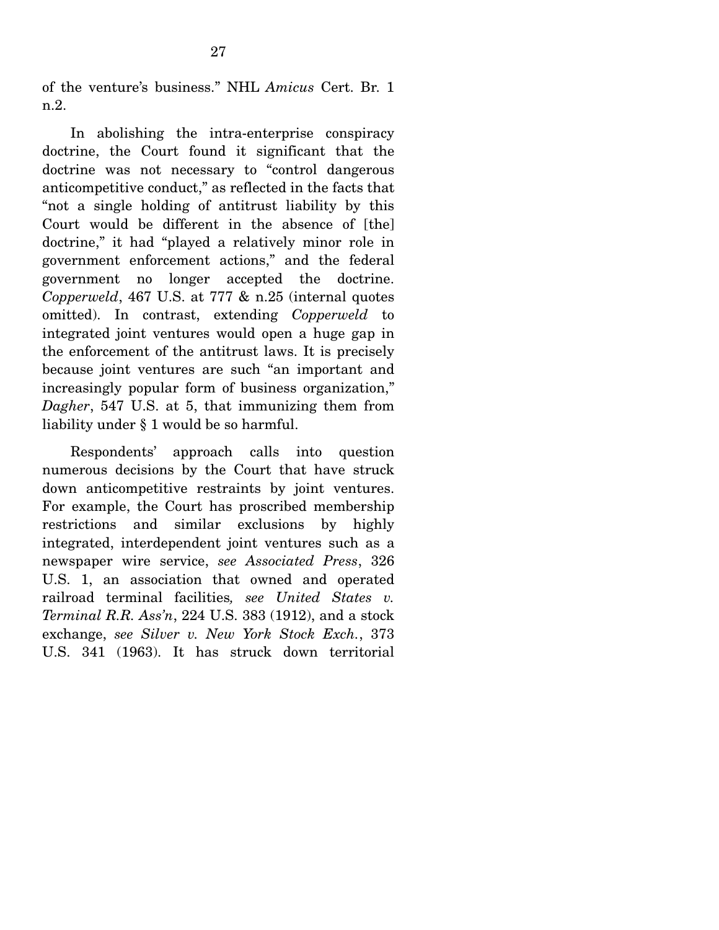of the venture's business." NHL *Amicus* Cert. Br. 1 n.2.

 In abolishing the intra-enterprise conspiracy doctrine, the Court found it significant that the doctrine was not necessary to "control dangerous anticompetitive conduct," as reflected in the facts that "not a single holding of antitrust liability by this Court would be different in the absence of [the] doctrine," it had "played a relatively minor role in government enforcement actions," and the federal government no longer accepted the doctrine. *Copperweld*, 467 U.S. at 777 & n.25 (internal quotes omitted). In contrast, extending *Copperweld* to integrated joint ventures would open a huge gap in the enforcement of the antitrust laws. It is precisely because joint ventures are such "an important and increasingly popular form of business organization," *Dagher*, 547 U.S. at 5, that immunizing them from liability under § 1 would be so harmful.

 Respondents' approach calls into question numerous decisions by the Court that have struck down anticompetitive restraints by joint ventures. For example, the Court has proscribed membership restrictions and similar exclusions by highly integrated, interdependent joint ventures such as a newspaper wire service, *see Associated Press*, 326 U.S. 1, an association that owned and operated railroad terminal facilities*, see United States v. Terminal R.R. Ass'n*, 224 U.S. 383 (1912), and a stock exchange, *see Silver v. New York Stock Exch.*, 373 U.S. 341 (1963). It has struck down territorial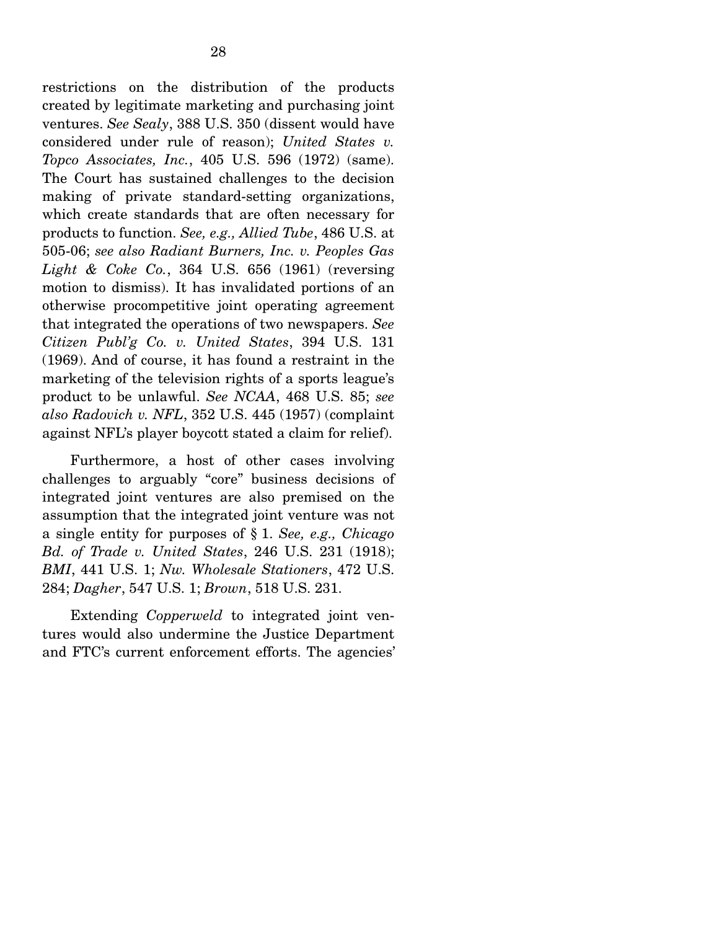restrictions on the distribution of the products created by legitimate marketing and purchasing joint ventures. *See Sealy*, 388 U.S. 350 (dissent would have considered under rule of reason); *United States v. Topco Associates, Inc.*, 405 U.S. 596 (1972) (same). The Court has sustained challenges to the decision making of private standard-setting organizations, which create standards that are often necessary for products to function. *See, e.g., Allied Tube*, 486 U.S. at 505-06; *see also Radiant Burners, Inc. v. Peoples Gas Light & Coke Co.*, 364 U.S. 656 (1961) (reversing motion to dismiss). It has invalidated portions of an otherwise procompetitive joint operating agreement that integrated the operations of two newspapers. *See Citizen Publ'g Co. v. United States*, 394 U.S. 131 (1969). And of course, it has found a restraint in the marketing of the television rights of a sports league's product to be unlawful. *See NCAA*, 468 U.S. 85; *see also Radovich v. NFL*, 352 U.S. 445 (1957) (complaint against NFL's player boycott stated a claim for relief).

 Furthermore, a host of other cases involving challenges to arguably "core" business decisions of integrated joint ventures are also premised on the assumption that the integrated joint venture was not a single entity for purposes of § 1. *See, e.g., Chicago Bd. of Trade v. United States*, 246 U.S. 231 (1918); *BMI*, 441 U.S. 1; *Nw. Wholesale Stationers*, 472 U.S. 284; *Dagher*, 547 U.S. 1; *Brown*, 518 U.S. 231.

 Extending *Copperweld* to integrated joint ventures would also undermine the Justice Department and FTC's current enforcement efforts. The agencies'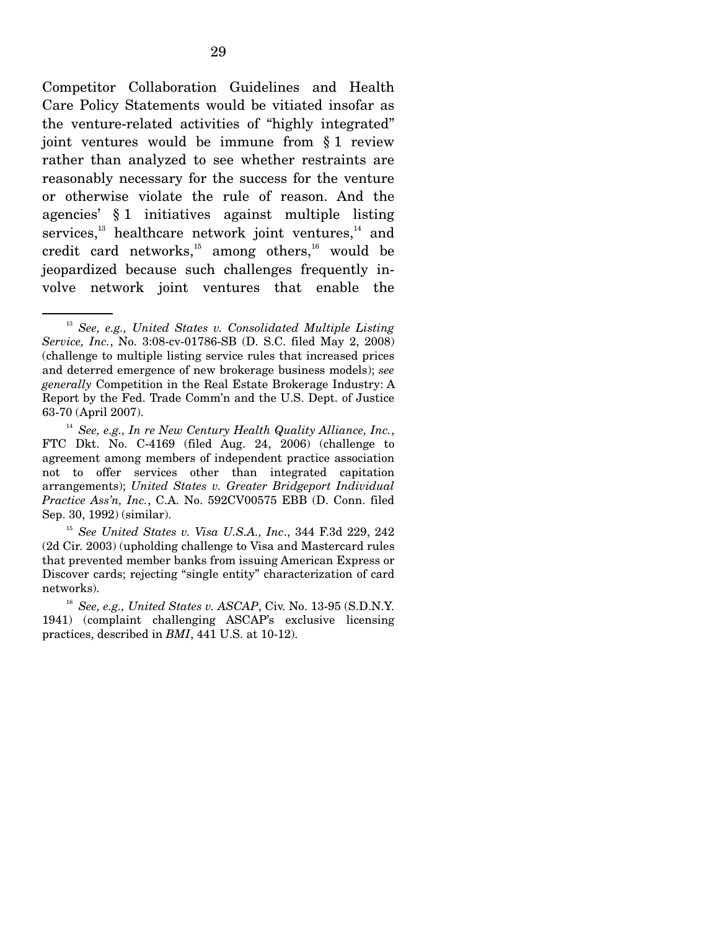Competitor Collaboration Guidelines and Health Care Policy Statements would be vitiated insofar as the venture-related activities of "highly integrated" joint ventures would be immune from § 1 review rather than analyzed to see whether restraints are reasonably necessary for the success for the venture or otherwise violate the rule of reason. And the agencies' § 1 initiatives against multiple listing services, $^{13}$  healthcare network joint ventures, $^{14}$  and credit card networks, $15$  among others, $16$  would be jeopardized because such challenges frequently involve network joint ventures that enable the

<sup>13</sup> *See, e.g., United States v. Consolidated Multiple Listing Service, Inc.*, No. 3:08-cv-01786-SB (D. S.C. filed May 2, 2008) (challenge to multiple listing service rules that increased prices and deterred emergence of new brokerage business models); *see generally* Competition in the Real Estate Brokerage Industry: A Report by the Fed. Trade Comm'n and the U.S. Dept. of Justice 63-70 (April 2007).

<sup>14</sup> *See, e.g., In re New Century Health Quality Alliance, Inc.*, FTC Dkt. No. C-4169 (filed Aug. 24, 2006) (challenge to agreement among members of independent practice association not to offer services other than integrated capitation arrangements); *United States v. Greater Bridgeport Individual Practice Ass'n, Inc.*, C.A. No. 592CV00575 EBB (D. Conn. filed Sep. 30, 1992) (similar).

<sup>15</sup> *See United States v. Visa U.S.A., Inc*., 344 F.3d 229, 242 (2d Cir. 2003) (upholding challenge to Visa and Mastercard rules that prevented member banks from issuing American Express or Discover cards; rejecting "single entity" characterization of card networks).

<sup>16</sup> *See, e.g., United States v. ASCAP*, Civ. No. 13-95 (S.D.N.Y. 1941) (complaint challenging ASCAP's exclusive licensing practices, described in *BMI*, 441 U.S. at 10-12).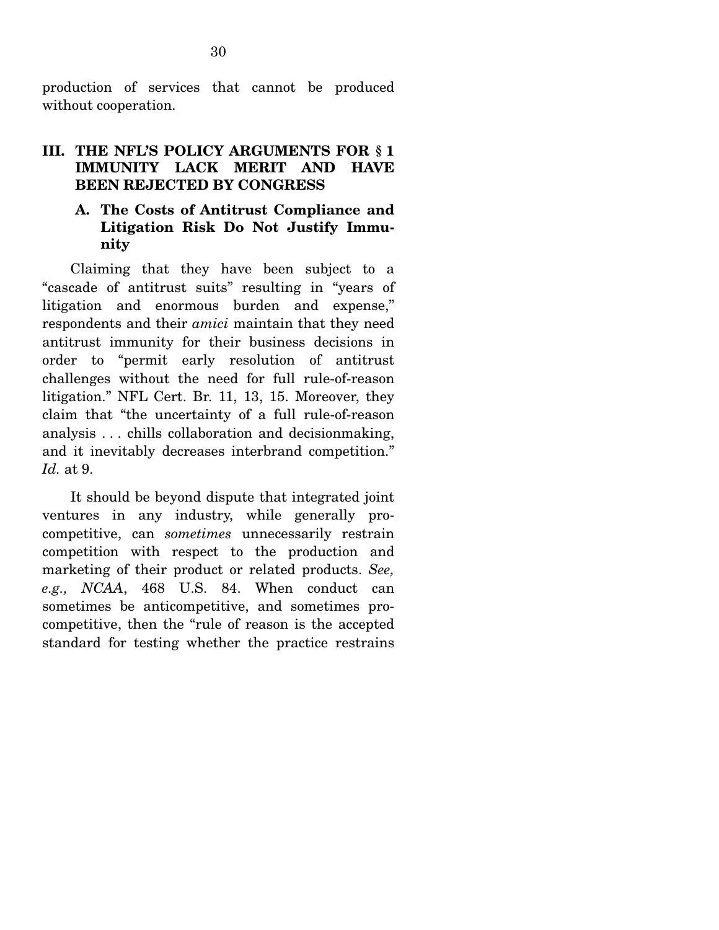production of services that cannot be produced without cooperation.

## **III. THE NFL'S POLICY ARGUMENTS FOR § 1 IMMUNITY LACK MERIT AND HAVE BEEN REJECTED BY CONGRESS**

### **A. The Costs of Antitrust Compliance and Litigation Risk Do Not Justify Immunity**

Claiming that they have been subject to a "cascade of antitrust suits" resulting in "years of litigation and enormous burden and expense," respondents and their *amici* maintain that they need antitrust immunity for their business decisions in order to "permit early resolution of antitrust challenges without the need for full rule-of-reason litigation." NFL Cert. Br. 11, 13, 15. Moreover, they claim that "the uncertainty of a full rule-of-reason analysis . . . chills collaboration and decisionmaking, and it inevitably decreases interbrand competition." *Id.* at 9.

 It should be beyond dispute that integrated joint ventures in any industry, while generally procompetitive, can *sometimes* unnecessarily restrain competition with respect to the production and marketing of their product or related products. *See, e.g., NCAA*, 468 U.S. 84. When conduct can sometimes be anticompetitive, and sometimes procompetitive, then the "rule of reason is the accepted standard for testing whether the practice restrains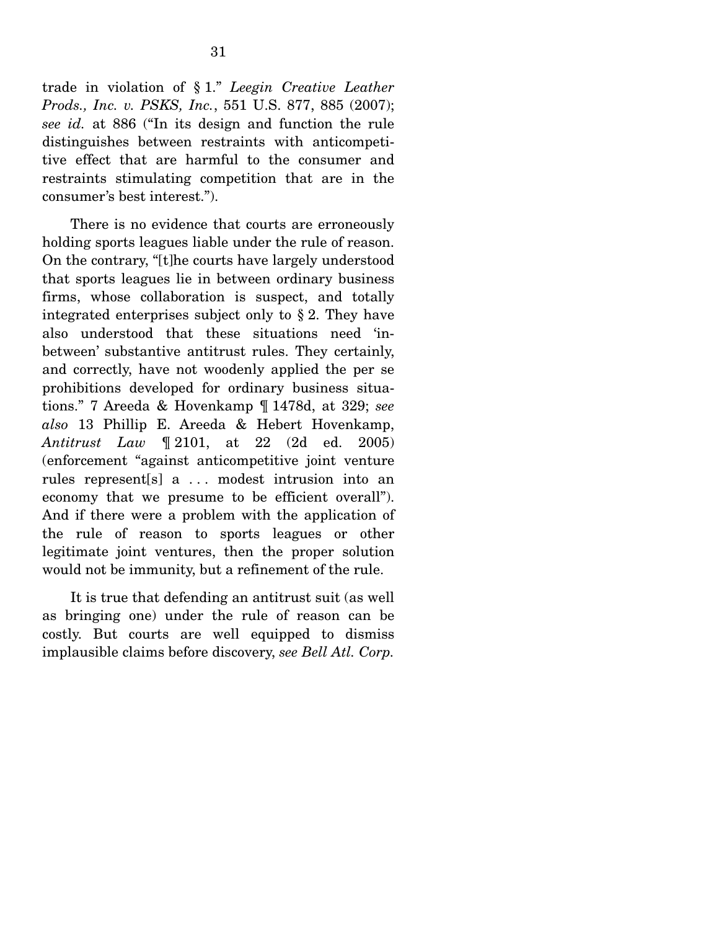trade in violation of § 1." *Leegin Creative Leather Prods., Inc. v. PSKS, Inc.*, 551 U.S. 877, 885 (2007); *see id.* at 886 ("In its design and function the rule distinguishes between restraints with anticompetitive effect that are harmful to the consumer and restraints stimulating competition that are in the consumer's best interest.").

 There is no evidence that courts are erroneously holding sports leagues liable under the rule of reason. On the contrary, "[t]he courts have largely understood that sports leagues lie in between ordinary business firms, whose collaboration is suspect, and totally integrated enterprises subject only to § 2. They have also understood that these situations need 'inbetween' substantive antitrust rules. They certainly, and correctly, have not woodenly applied the per se prohibitions developed for ordinary business situations." 7 Areeda & Hovenkamp ¶ 1478d, at 329; *see also* 13 Phillip E. Areeda & Hebert Hovenkamp, *Antitrust Law* ¶ 2101, at 22 (2d ed. 2005) (enforcement "against anticompetitive joint venture rules represent[s] a . . . modest intrusion into an economy that we presume to be efficient overall"). And if there were a problem with the application of the rule of reason to sports leagues or other legitimate joint ventures, then the proper solution would not be immunity, but a refinement of the rule.

 It is true that defending an antitrust suit (as well as bringing one) under the rule of reason can be costly. But courts are well equipped to dismiss implausible claims before discovery, *see Bell Atl. Corp.*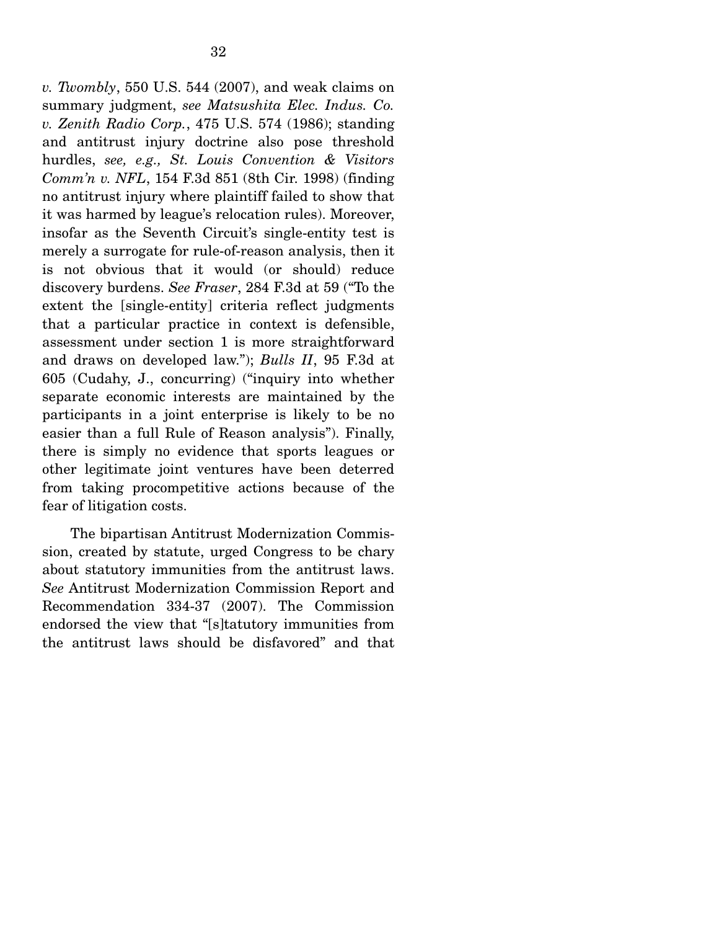*v. Twombly*, 550 U.S. 544 (2007), and weak claims on summary judgment, *see Matsushita Elec. Indus. Co. v. Zenith Radio Corp.*, 475 U.S. 574 (1986); standing and antitrust injury doctrine also pose threshold hurdles, *see, e.g., St. Louis Convention & Visitors Comm'n v. NFL*, 154 F.3d 851 (8th Cir. 1998) (finding no antitrust injury where plaintiff failed to show that it was harmed by league's relocation rules). Moreover, insofar as the Seventh Circuit's single-entity test is merely a surrogate for rule-of-reason analysis, then it is not obvious that it would (or should) reduce discovery burdens. *See Fraser*, 284 F.3d at 59 ("To the extent the [single-entity] criteria reflect judgments that a particular practice in context is defensible, assessment under section 1 is more straightforward and draws on developed law."); *Bulls II*, 95 F.3d at 605 (Cudahy, J., concurring) ("inquiry into whether separate economic interests are maintained by the participants in a joint enterprise is likely to be no easier than a full Rule of Reason analysis"). Finally, there is simply no evidence that sports leagues or other legitimate joint ventures have been deterred from taking procompetitive actions because of the fear of litigation costs.

 The bipartisan Antitrust Modernization Commission, created by statute, urged Congress to be chary about statutory immunities from the antitrust laws. *See* Antitrust Modernization Commission Report and Recommendation 334-37 (2007). The Commission endorsed the view that "[s]tatutory immunities from the antitrust laws should be disfavored" and that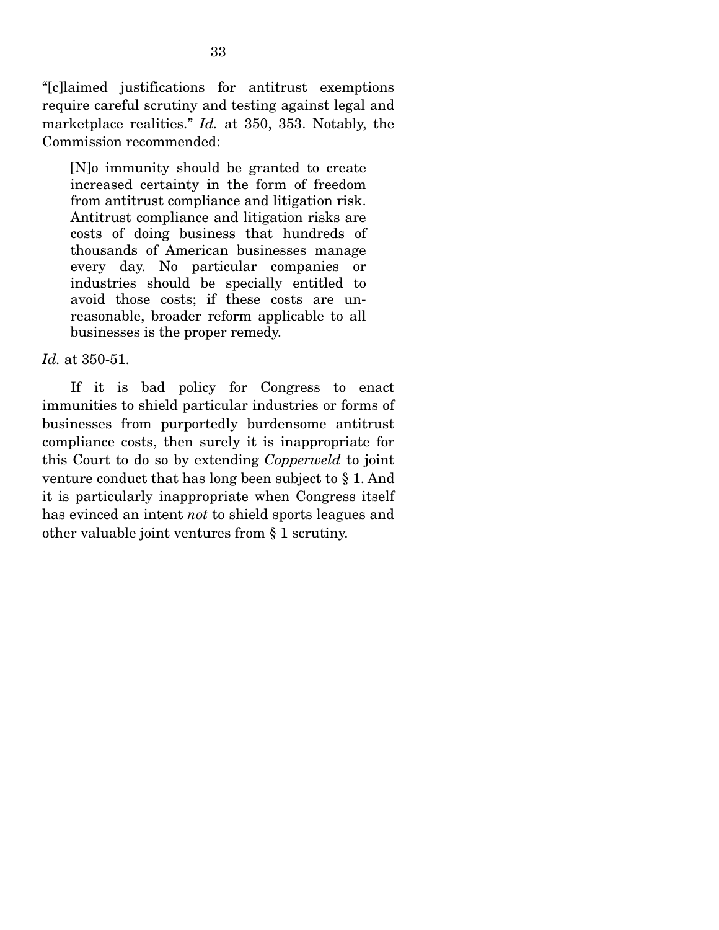"[c]laimed justifications for antitrust exemptions require careful scrutiny and testing against legal and marketplace realities." *Id.* at 350, 353. Notably, the Commission recommended:

[N]o immunity should be granted to create increased certainty in the form of freedom from antitrust compliance and litigation risk. Antitrust compliance and litigation risks are costs of doing business that hundreds of thousands of American businesses manage every day. No particular companies or industries should be specially entitled to avoid those costs; if these costs are unreasonable, broader reform applicable to all businesses is the proper remedy.

#### *Id.* at 350-51.

 If it is bad policy for Congress to enact immunities to shield particular industries or forms of businesses from purportedly burdensome antitrust compliance costs, then surely it is inappropriate for this Court to do so by extending *Copperweld* to joint venture conduct that has long been subject to § 1. And it is particularly inappropriate when Congress itself has evinced an intent *not* to shield sports leagues and other valuable joint ventures from § 1 scrutiny.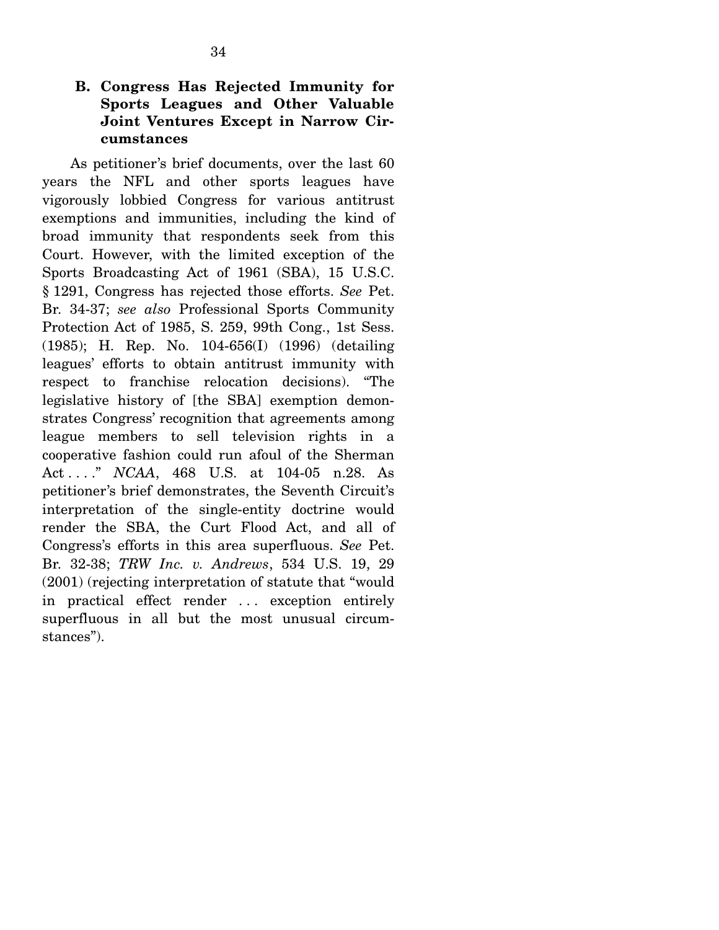As petitioner's brief documents, over the last 60 years the NFL and other sports leagues have vigorously lobbied Congress for various antitrust exemptions and immunities, including the kind of broad immunity that respondents seek from this Court. However, with the limited exception of the Sports Broadcasting Act of 1961 (SBA), 15 U.S.C. § 1291, Congress has rejected those efforts. *See* Pet. Br. 34-37; *see also* Professional Sports Community Protection Act of 1985, S. 259, 99th Cong., 1st Sess. (1985); H. Rep. No. 104-656(I) (1996) (detailing leagues' efforts to obtain antitrust immunity with respect to franchise relocation decisions). "The legislative history of [the SBA] exemption demonstrates Congress' recognition that agreements among league members to sell television rights in a cooperative fashion could run afoul of the Sherman Act . . . ." *NCAA*, 468 U.S. at 104-05 n.28. As petitioner's brief demonstrates, the Seventh Circuit's interpretation of the single-entity doctrine would render the SBA, the Curt Flood Act, and all of Congress's efforts in this area superfluous. *See* Pet. Br. 32-38; *TRW Inc. v. Andrews*, 534 U.S. 19, 29 (2001) (rejecting interpretation of statute that "would in practical effect render . . . exception entirely superfluous in all but the most unusual circumstances").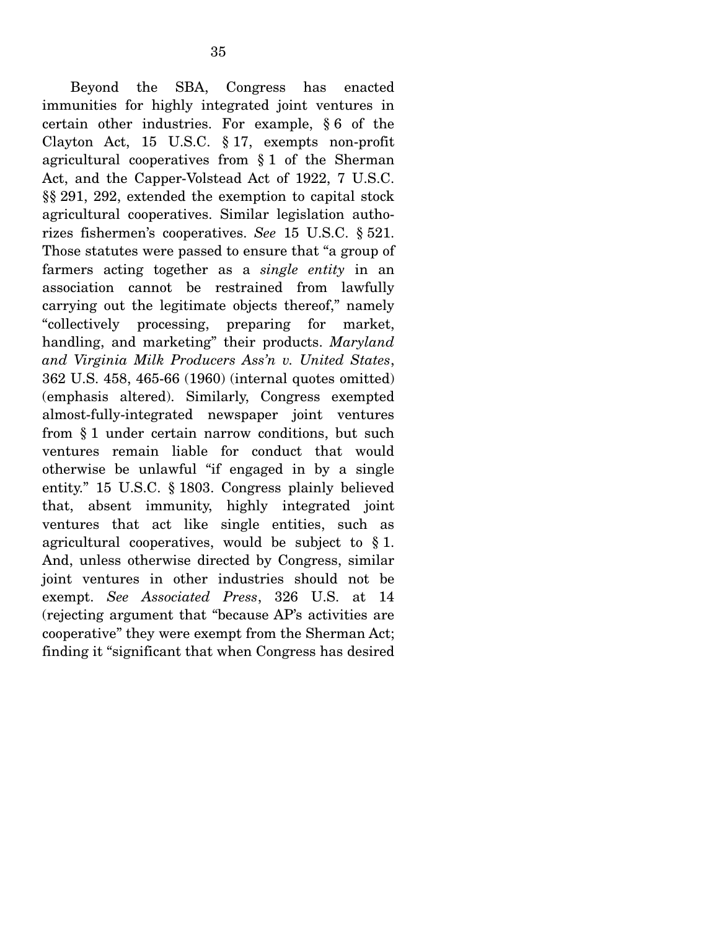Beyond the SBA, Congress has enacted immunities for highly integrated joint ventures in certain other industries. For example, § 6 of the Clayton Act, 15 U.S.C. § 17, exempts non-profit agricultural cooperatives from § 1 of the Sherman Act, and the Capper-Volstead Act of 1922, 7 U.S.C. §§ 291, 292, extended the exemption to capital stock agricultural cooperatives. Similar legislation authorizes fishermen's cooperatives. *See* 15 U.S.C. § 521. Those statutes were passed to ensure that "a group of farmers acting together as a *single entity* in an association cannot be restrained from lawfully carrying out the legitimate objects thereof," namely "collectively processing, preparing for market, handling, and marketing" their products. *Maryland and Virginia Milk Producers Ass'n v. United States*, 362 U.S. 458, 465-66 (1960) (internal quotes omitted) (emphasis altered). Similarly, Congress exempted almost-fully-integrated newspaper joint ventures from § 1 under certain narrow conditions, but such ventures remain liable for conduct that would otherwise be unlawful "if engaged in by a single entity." 15 U.S.C. § 1803. Congress plainly believed that, absent immunity, highly integrated joint ventures that act like single entities, such as agricultural cooperatives, would be subject to  $\S 1$ . And, unless otherwise directed by Congress, similar joint ventures in other industries should not be exempt. *See Associated Press*, 326 U.S. at 14 (rejecting argument that "because AP's activities are cooperative" they were exempt from the Sherman Act; finding it "significant that when Congress has desired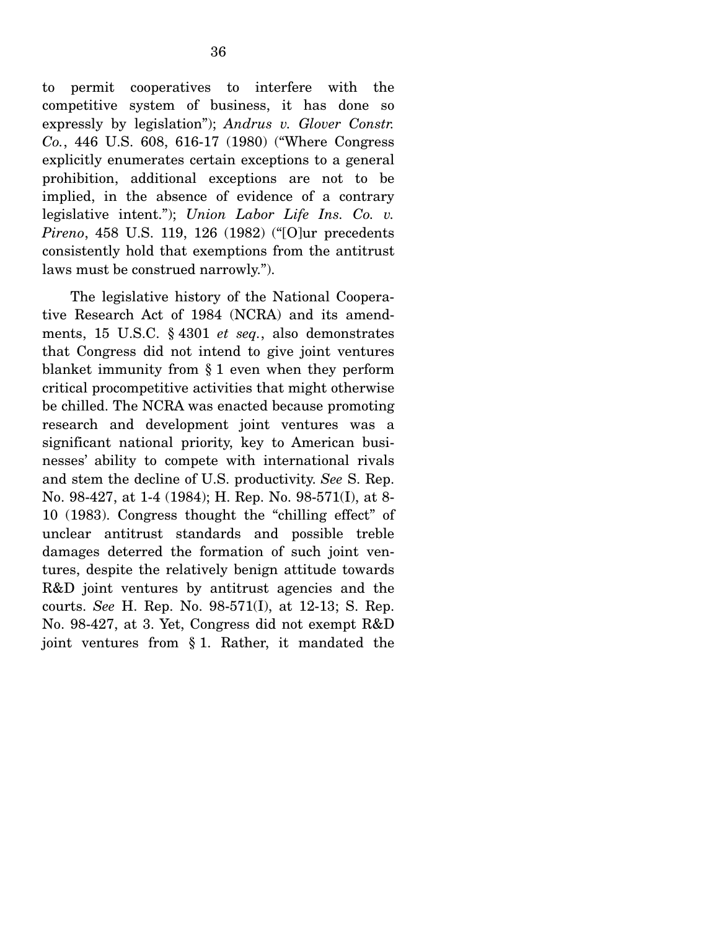to permit cooperatives to interfere with the competitive system of business, it has done so expressly by legislation"); *Andrus v. Glover Constr. Co.*, 446 U.S. 608, 616-17 (1980) ("Where Congress explicitly enumerates certain exceptions to a general prohibition, additional exceptions are not to be implied, in the absence of evidence of a contrary legislative intent."); *Union Labor Life Ins. Co. v. Pireno*, 458 U.S. 119, 126 (1982) ("[O]ur precedents consistently hold that exemptions from the antitrust laws must be construed narrowly.").

 The legislative history of the National Cooperative Research Act of 1984 (NCRA) and its amendments, 15 U.S.C. § 4301 *et seq.*, also demonstrates that Congress did not intend to give joint ventures blanket immunity from § 1 even when they perform critical procompetitive activities that might otherwise be chilled. The NCRA was enacted because promoting research and development joint ventures was a significant national priority, key to American businesses' ability to compete with international rivals and stem the decline of U.S. productivity. *See* S. Rep. No. 98-427, at 1-4 (1984); H. Rep. No. 98-571(I), at 8- 10 (1983). Congress thought the "chilling effect" of unclear antitrust standards and possible treble damages deterred the formation of such joint ventures, despite the relatively benign attitude towards R&D joint ventures by antitrust agencies and the courts. *See* H. Rep. No. 98-571(I), at 12-13; S. Rep. No. 98-427, at 3. Yet, Congress did not exempt R&D joint ventures from § 1. Rather, it mandated the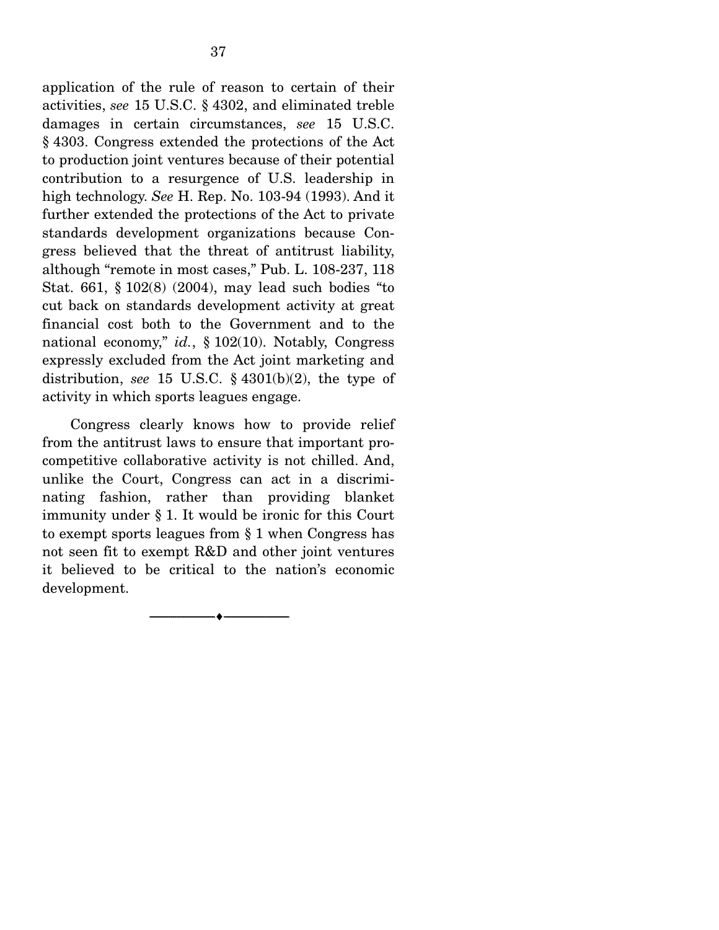application of the rule of reason to certain of their activities, *see* 15 U.S.C. § 4302, and eliminated treble damages in certain circumstances, *see* 15 U.S.C. § 4303. Congress extended the protections of the Act to production joint ventures because of their potential contribution to a resurgence of U.S. leadership in high technology. *See* H. Rep. No. 103-94 (1993). And it further extended the protections of the Act to private standards development organizations because Congress believed that the threat of antitrust liability, although "remote in most cases," Pub. L. 108-237, 118 Stat. 661, § 102(8) (2004), may lead such bodies "to cut back on standards development activity at great financial cost both to the Government and to the national economy," *id.*, § 102(10). Notably, Congress expressly excluded from the Act joint marketing and distribution, *see* 15 U.S.C. § 4301(b)(2), the type of activity in which sports leagues engage.

 Congress clearly knows how to provide relief from the antitrust laws to ensure that important procompetitive collaborative activity is not chilled. And, unlike the Court, Congress can act in a discriminating fashion, rather than providing blanket immunity under § 1. It would be ironic for this Court to exempt sports leagues from § 1 when Congress has not seen fit to exempt R&D and other joint ventures it believed to be critical to the nation's economic development.

--------------------------------- ♦ ---------------------------------